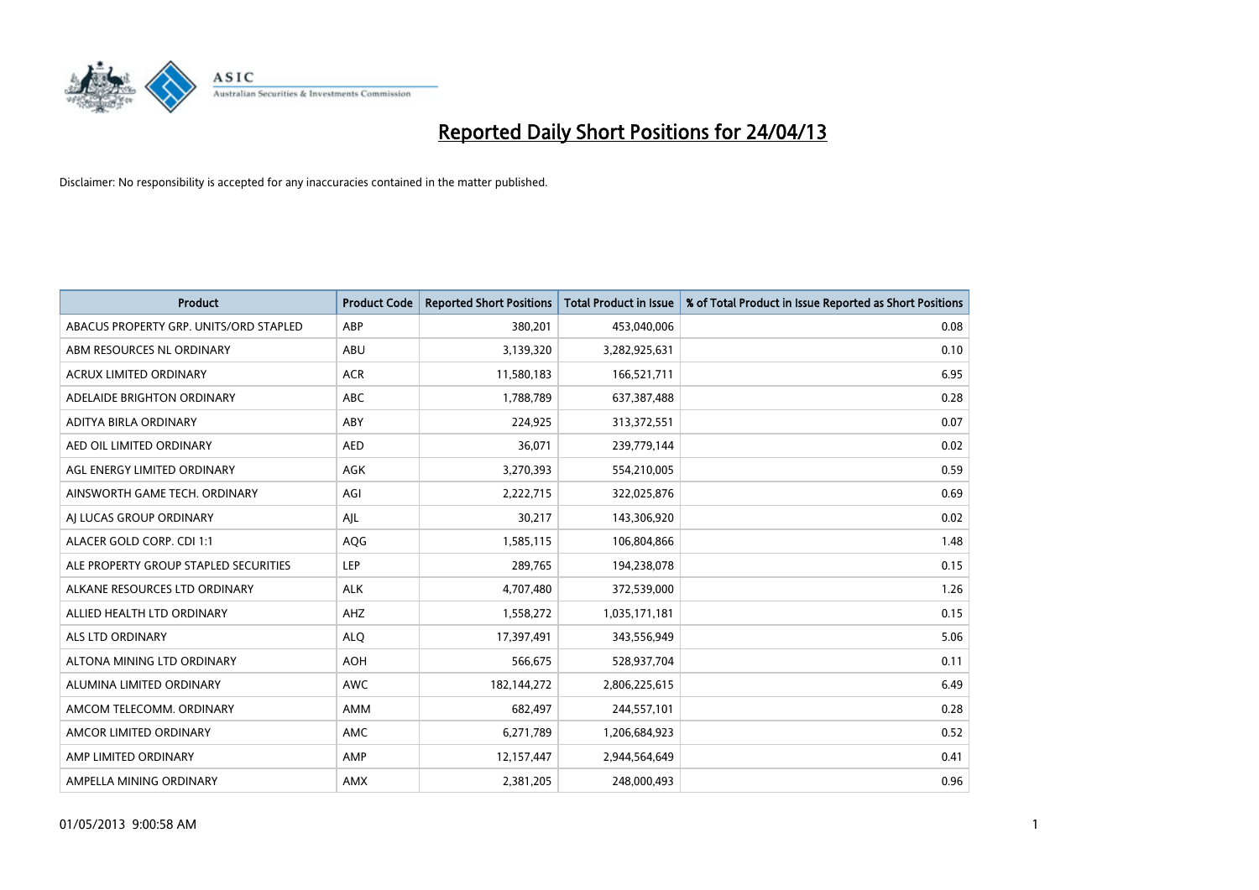

| <b>Product</b>                         | <b>Product Code</b> | <b>Reported Short Positions</b> | <b>Total Product in Issue</b> | % of Total Product in Issue Reported as Short Positions |
|----------------------------------------|---------------------|---------------------------------|-------------------------------|---------------------------------------------------------|
| ABACUS PROPERTY GRP. UNITS/ORD STAPLED | ABP                 | 380,201                         | 453,040,006                   | 0.08                                                    |
| ABM RESOURCES NL ORDINARY              | ABU                 | 3,139,320                       | 3,282,925,631                 | 0.10                                                    |
| ACRUX LIMITED ORDINARY                 | <b>ACR</b>          | 11,580,183                      | 166,521,711                   | 6.95                                                    |
| ADELAIDE BRIGHTON ORDINARY             | <b>ABC</b>          | 1,788,789                       | 637, 387, 488                 | 0.28                                                    |
| ADITYA BIRLA ORDINARY                  | ABY                 | 224,925                         | 313,372,551                   | 0.07                                                    |
| AED OIL LIMITED ORDINARY               | <b>AED</b>          | 36,071                          | 239,779,144                   | 0.02                                                    |
| AGL ENERGY LIMITED ORDINARY            | AGK                 | 3,270,393                       | 554,210,005                   | 0.59                                                    |
| AINSWORTH GAME TECH. ORDINARY          | AGI                 | 2,222,715                       | 322,025,876                   | 0.69                                                    |
| AI LUCAS GROUP ORDINARY                | AJL                 | 30,217                          | 143,306,920                   | 0.02                                                    |
| ALACER GOLD CORP. CDI 1:1              | AQG                 | 1,585,115                       | 106,804,866                   | 1.48                                                    |
| ALE PROPERTY GROUP STAPLED SECURITIES  | <b>LEP</b>          | 289,765                         | 194,238,078                   | 0.15                                                    |
| ALKANE RESOURCES LTD ORDINARY          | <b>ALK</b>          | 4,707,480                       | 372,539,000                   | 1.26                                                    |
| ALLIED HEALTH LTD ORDINARY             | AHZ                 | 1,558,272                       | 1,035,171,181                 | 0.15                                                    |
| ALS LTD ORDINARY                       | <b>ALQ</b>          | 17,397,491                      | 343,556,949                   | 5.06                                                    |
| ALTONA MINING LTD ORDINARY             | <b>AOH</b>          | 566,675                         | 528,937,704                   | 0.11                                                    |
| ALUMINA LIMITED ORDINARY               | <b>AWC</b>          | 182,144,272                     | 2,806,225,615                 | 6.49                                                    |
| AMCOM TELECOMM. ORDINARY               | AMM                 | 682,497                         | 244,557,101                   | 0.28                                                    |
| AMCOR LIMITED ORDINARY                 | AMC                 | 6,271,789                       | 1,206,684,923                 | 0.52                                                    |
| AMP LIMITED ORDINARY                   | AMP                 | 12,157,447                      | 2,944,564,649                 | 0.41                                                    |
| AMPELLA MINING ORDINARY                | <b>AMX</b>          | 2,381,205                       | 248,000,493                   | 0.96                                                    |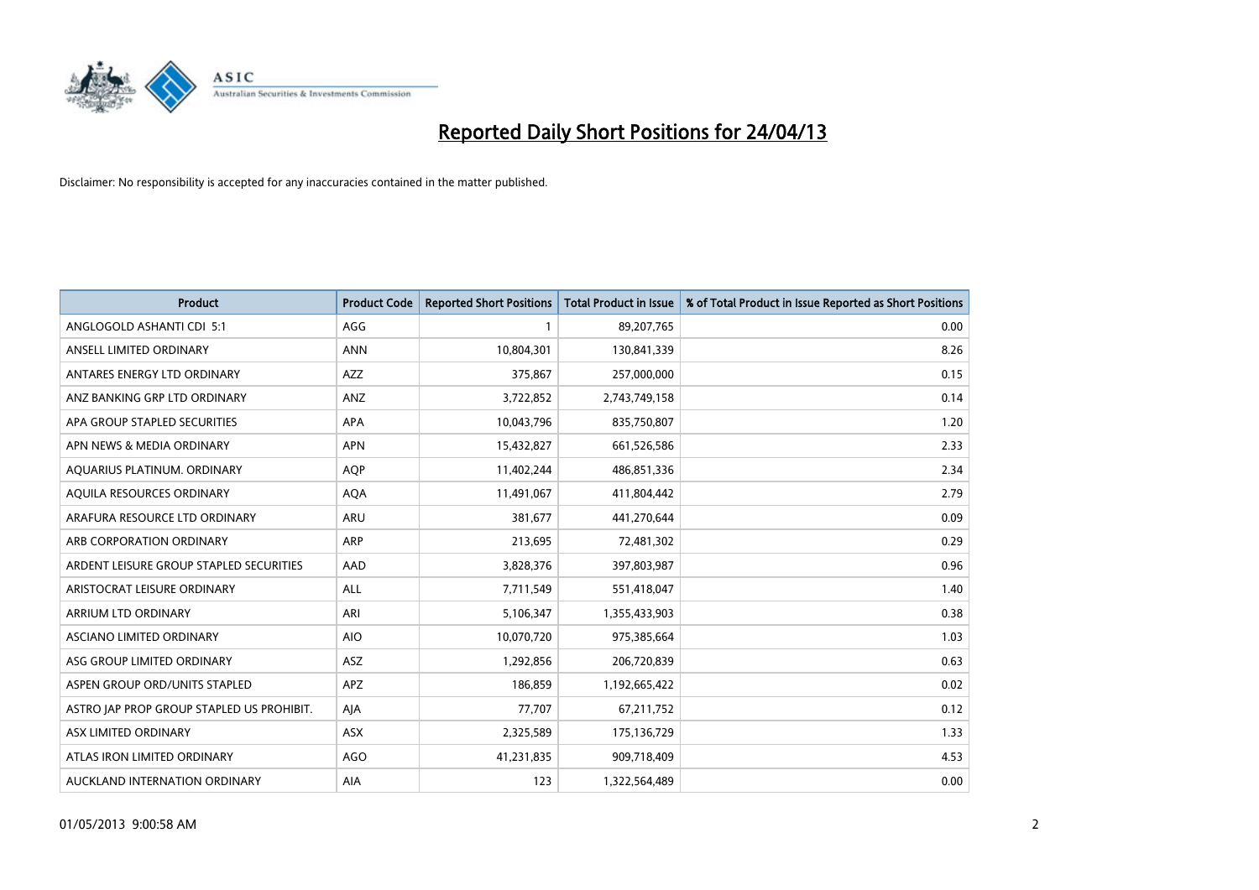

| <b>Product</b>                            | <b>Product Code</b> | <b>Reported Short Positions</b> | <b>Total Product in Issue</b> | % of Total Product in Issue Reported as Short Positions |
|-------------------------------------------|---------------------|---------------------------------|-------------------------------|---------------------------------------------------------|
| ANGLOGOLD ASHANTI CDI 5:1                 | AGG                 | 1                               | 89,207,765                    | 0.00                                                    |
| ANSELL LIMITED ORDINARY                   | <b>ANN</b>          | 10,804,301                      | 130,841,339                   | 8.26                                                    |
| ANTARES ENERGY LTD ORDINARY               | AZZ                 | 375,867                         | 257,000,000                   | 0.15                                                    |
| ANZ BANKING GRP LTD ORDINARY              | ANZ                 | 3,722,852                       | 2,743,749,158                 | 0.14                                                    |
| APA GROUP STAPLED SECURITIES              | <b>APA</b>          | 10,043,796                      | 835,750,807                   | 1.20                                                    |
| APN NEWS & MEDIA ORDINARY                 | <b>APN</b>          | 15,432,827                      | 661,526,586                   | 2.33                                                    |
| AQUARIUS PLATINUM. ORDINARY               | <b>AOP</b>          | 11,402,244                      | 486,851,336                   | 2.34                                                    |
| AQUILA RESOURCES ORDINARY                 | <b>AQA</b>          | 11,491,067                      | 411,804,442                   | 2.79                                                    |
| ARAFURA RESOURCE LTD ORDINARY             | <b>ARU</b>          | 381,677                         | 441,270,644                   | 0.09                                                    |
| ARB CORPORATION ORDINARY                  | ARP                 | 213,695                         | 72,481,302                    | 0.29                                                    |
| ARDENT LEISURE GROUP STAPLED SECURITIES   | AAD                 | 3,828,376                       | 397,803,987                   | 0.96                                                    |
| ARISTOCRAT LEISURE ORDINARY               | <b>ALL</b>          | 7,711,549                       | 551,418,047                   | 1.40                                                    |
| ARRIUM LTD ORDINARY                       | ARI                 | 5,106,347                       | 1,355,433,903                 | 0.38                                                    |
| ASCIANO LIMITED ORDINARY                  | <b>AIO</b>          | 10,070,720                      | 975,385,664                   | 1.03                                                    |
| ASG GROUP LIMITED ORDINARY                | <b>ASZ</b>          | 1,292,856                       | 206,720,839                   | 0.63                                                    |
| ASPEN GROUP ORD/UNITS STAPLED             | APZ                 | 186,859                         | 1,192,665,422                 | 0.02                                                    |
| ASTRO JAP PROP GROUP STAPLED US PROHIBIT. | AJA                 | 77,707                          | 67,211,752                    | 0.12                                                    |
| ASX LIMITED ORDINARY                      | ASX                 | 2,325,589                       | 175,136,729                   | 1.33                                                    |
| ATLAS IRON LIMITED ORDINARY               | <b>AGO</b>          | 41,231,835                      | 909,718,409                   | 4.53                                                    |
| AUCKLAND INTERNATION ORDINARY             | AIA                 | 123                             | 1,322,564,489                 | 0.00                                                    |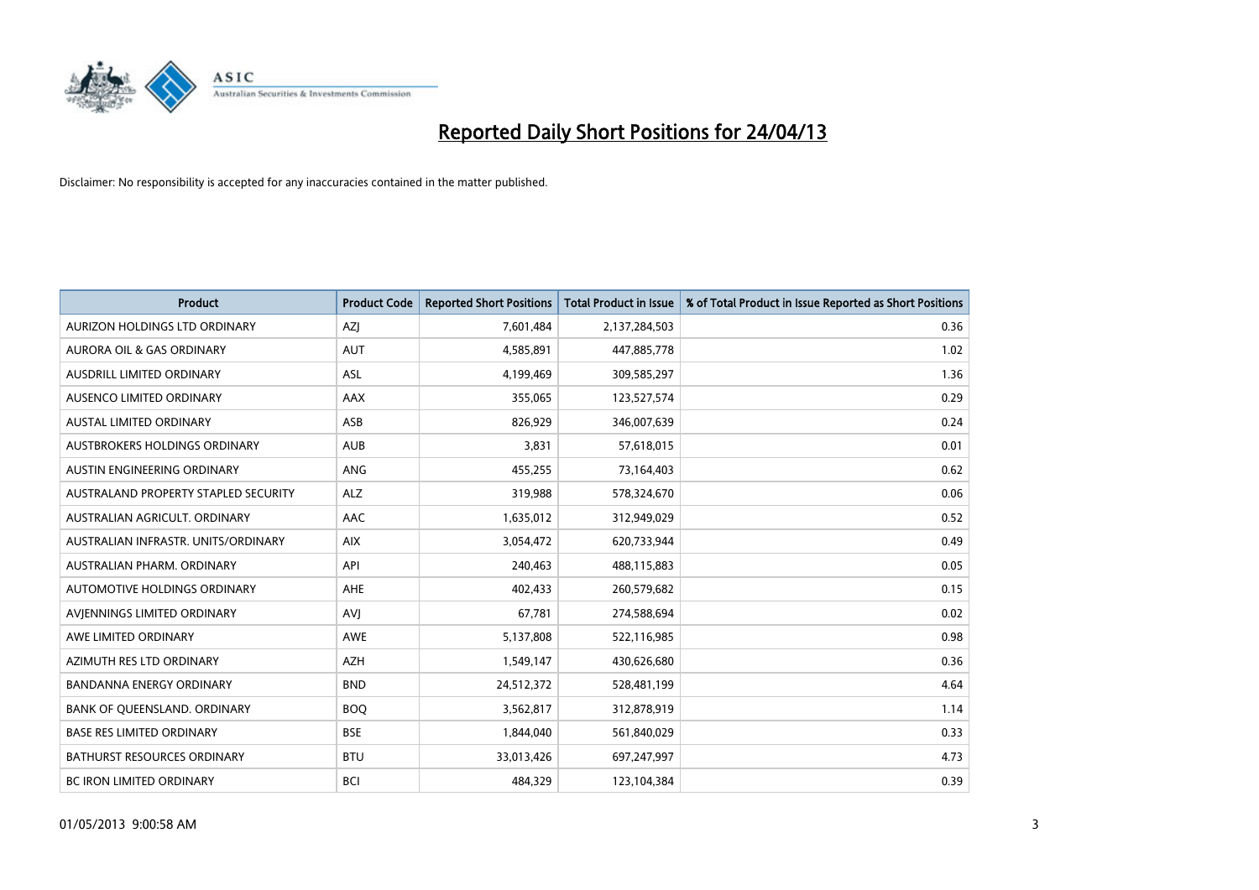

| <b>Product</b>                       | <b>Product Code</b> | <b>Reported Short Positions</b> | <b>Total Product in Issue</b> | % of Total Product in Issue Reported as Short Positions |
|--------------------------------------|---------------------|---------------------------------|-------------------------------|---------------------------------------------------------|
| AURIZON HOLDINGS LTD ORDINARY        | AZJ                 | 7,601,484                       | 2,137,284,503                 | 0.36                                                    |
| AURORA OIL & GAS ORDINARY            | AUT                 | 4,585,891                       | 447,885,778                   | 1.02                                                    |
| <b>AUSDRILL LIMITED ORDINARY</b>     | <b>ASL</b>          | 4,199,469                       | 309,585,297                   | 1.36                                                    |
| AUSENCO LIMITED ORDINARY             | AAX                 | 355,065                         | 123,527,574                   | 0.29                                                    |
| <b>AUSTAL LIMITED ORDINARY</b>       | ASB                 | 826,929                         | 346,007,639                   | 0.24                                                    |
| AUSTBROKERS HOLDINGS ORDINARY        | <b>AUB</b>          | 3,831                           | 57,618,015                    | 0.01                                                    |
| AUSTIN ENGINEERING ORDINARY          | ANG                 | 455,255                         | 73,164,403                    | 0.62                                                    |
| AUSTRALAND PROPERTY STAPLED SECURITY | <b>ALZ</b>          | 319,988                         | 578,324,670                   | 0.06                                                    |
| AUSTRALIAN AGRICULT, ORDINARY        | AAC                 | 1,635,012                       | 312,949,029                   | 0.52                                                    |
| AUSTRALIAN INFRASTR, UNITS/ORDINARY  | <b>AIX</b>          | 3,054,472                       | 620,733,944                   | 0.49                                                    |
| AUSTRALIAN PHARM. ORDINARY           | API                 | 240,463                         | 488,115,883                   | 0.05                                                    |
| <b>AUTOMOTIVE HOLDINGS ORDINARY</b>  | <b>AHE</b>          | 402,433                         | 260,579,682                   | 0.15                                                    |
| AVIENNINGS LIMITED ORDINARY          | AVI                 | 67,781                          | 274,588,694                   | 0.02                                                    |
| AWE LIMITED ORDINARY                 | AWE                 | 5,137,808                       | 522,116,985                   | 0.98                                                    |
| AZIMUTH RES LTD ORDINARY             | <b>AZH</b>          | 1,549,147                       | 430,626,680                   | 0.36                                                    |
| BANDANNA ENERGY ORDINARY             | <b>BND</b>          | 24,512,372                      | 528,481,199                   | 4.64                                                    |
| BANK OF QUEENSLAND. ORDINARY         | <b>BOQ</b>          | 3,562,817                       | 312,878,919                   | 1.14                                                    |
| <b>BASE RES LIMITED ORDINARY</b>     | <b>BSE</b>          | 1,844,040                       | 561,840,029                   | 0.33                                                    |
| <b>BATHURST RESOURCES ORDINARY</b>   | <b>BTU</b>          | 33,013,426                      | 697,247,997                   | 4.73                                                    |
| <b>BC IRON LIMITED ORDINARY</b>      | <b>BCI</b>          | 484,329                         | 123,104,384                   | 0.39                                                    |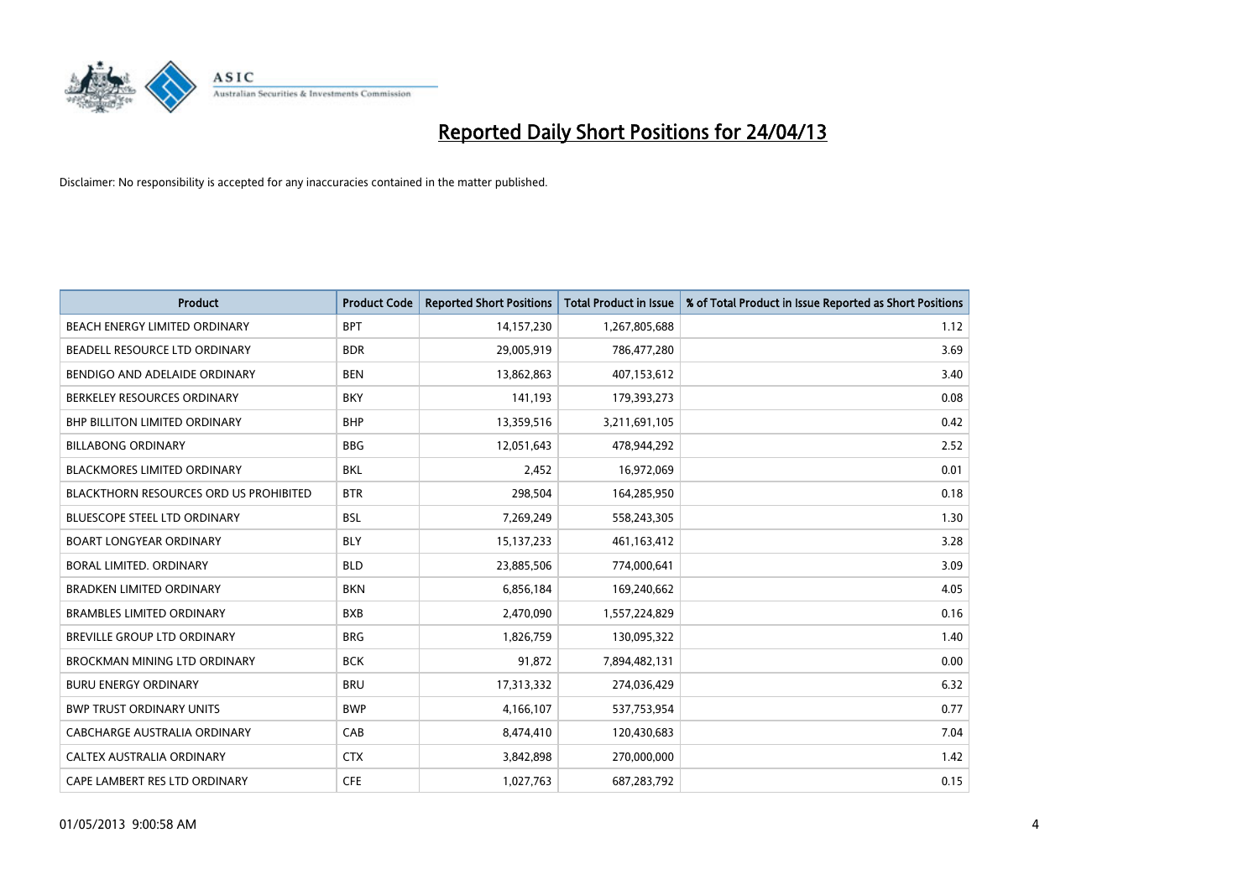

| <b>Product</b>                                | <b>Product Code</b> | <b>Reported Short Positions</b> | <b>Total Product in Issue</b> | % of Total Product in Issue Reported as Short Positions |
|-----------------------------------------------|---------------------|---------------------------------|-------------------------------|---------------------------------------------------------|
| BEACH ENERGY LIMITED ORDINARY                 | <b>BPT</b>          | 14,157,230                      | 1,267,805,688                 | 1.12                                                    |
| BEADELL RESOURCE LTD ORDINARY                 | <b>BDR</b>          | 29,005,919                      | 786,477,280                   | 3.69                                                    |
| BENDIGO AND ADELAIDE ORDINARY                 | <b>BEN</b>          | 13,862,863                      | 407,153,612                   | 3.40                                                    |
| BERKELEY RESOURCES ORDINARY                   | <b>BKY</b>          | 141,193                         | 179,393,273                   | 0.08                                                    |
| <b>BHP BILLITON LIMITED ORDINARY</b>          | <b>BHP</b>          | 13,359,516                      | 3,211,691,105                 | 0.42                                                    |
| <b>BILLABONG ORDINARY</b>                     | <b>BBG</b>          | 12,051,643                      | 478,944,292                   | 2.52                                                    |
| <b>BLACKMORES LIMITED ORDINARY</b>            | BKL                 | 2,452                           | 16,972,069                    | 0.01                                                    |
| <b>BLACKTHORN RESOURCES ORD US PROHIBITED</b> | <b>BTR</b>          | 298,504                         | 164,285,950                   | 0.18                                                    |
| BLUESCOPE STEEL LTD ORDINARY                  | <b>BSL</b>          | 7,269,249                       | 558,243,305                   | 1.30                                                    |
| <b>BOART LONGYEAR ORDINARY</b>                | <b>BLY</b>          | 15, 137, 233                    | 461,163,412                   | 3.28                                                    |
| <b>BORAL LIMITED, ORDINARY</b>                | <b>BLD</b>          | 23,885,506                      | 774,000,641                   | 3.09                                                    |
| <b>BRADKEN LIMITED ORDINARY</b>               | <b>BKN</b>          | 6,856,184                       | 169,240,662                   | 4.05                                                    |
| <b>BRAMBLES LIMITED ORDINARY</b>              | <b>BXB</b>          | 2,470,090                       | 1,557,224,829                 | 0.16                                                    |
| <b>BREVILLE GROUP LTD ORDINARY</b>            | <b>BRG</b>          | 1,826,759                       | 130,095,322                   | 1.40                                                    |
| BROCKMAN MINING LTD ORDINARY                  | <b>BCK</b>          | 91,872                          | 7,894,482,131                 | 0.00                                                    |
| <b>BURU ENERGY ORDINARY</b>                   | <b>BRU</b>          | 17,313,332                      | 274,036,429                   | 6.32                                                    |
| <b>BWP TRUST ORDINARY UNITS</b>               | <b>BWP</b>          | 4,166,107                       | 537,753,954                   | 0.77                                                    |
| <b>CABCHARGE AUSTRALIA ORDINARY</b>           | CAB                 | 8,474,410                       | 120,430,683                   | 7.04                                                    |
| CALTEX AUSTRALIA ORDINARY                     | <b>CTX</b>          | 3,842,898                       | 270,000,000                   | 1.42                                                    |
| CAPE LAMBERT RES LTD ORDINARY                 | <b>CFE</b>          | 1,027,763                       | 687,283,792                   | 0.15                                                    |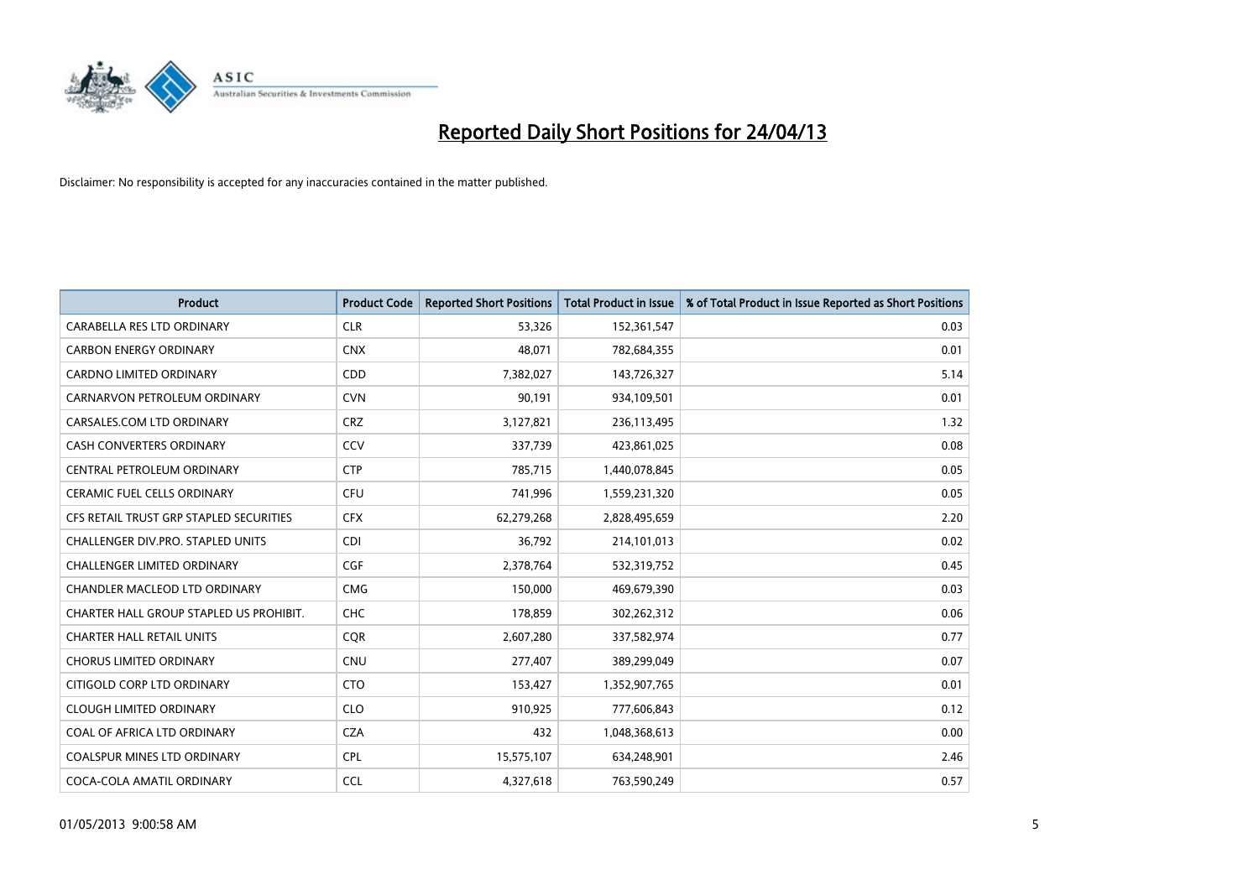

| <b>Product</b>                          | <b>Product Code</b> | <b>Reported Short Positions</b> | <b>Total Product in Issue</b> | % of Total Product in Issue Reported as Short Positions |
|-----------------------------------------|---------------------|---------------------------------|-------------------------------|---------------------------------------------------------|
| CARABELLA RES LTD ORDINARY              | <b>CLR</b>          | 53,326                          | 152,361,547                   | 0.03                                                    |
| <b>CARBON ENERGY ORDINARY</b>           | <b>CNX</b>          | 48,071                          | 782,684,355                   | 0.01                                                    |
| <b>CARDNO LIMITED ORDINARY</b>          | CDD                 | 7,382,027                       | 143,726,327                   | 5.14                                                    |
| CARNARVON PETROLEUM ORDINARY            | <b>CVN</b>          | 90,191                          | 934,109,501                   | 0.01                                                    |
| CARSALES.COM LTD ORDINARY               | <b>CRZ</b>          | 3,127,821                       | 236,113,495                   | 1.32                                                    |
| <b>CASH CONVERTERS ORDINARY</b>         | CCV                 | 337,739                         | 423,861,025                   | 0.08                                                    |
| CENTRAL PETROLEUM ORDINARY              | <b>CTP</b>          | 785,715                         | 1,440,078,845                 | 0.05                                                    |
| CERAMIC FUEL CELLS ORDINARY             | <b>CFU</b>          | 741,996                         | 1,559,231,320                 | 0.05                                                    |
| CFS RETAIL TRUST GRP STAPLED SECURITIES | <b>CFX</b>          | 62,279,268                      | 2,828,495,659                 | 2.20                                                    |
| CHALLENGER DIV.PRO. STAPLED UNITS       | <b>CDI</b>          | 36,792                          | 214,101,013                   | 0.02                                                    |
| CHALLENGER LIMITED ORDINARY             | <b>CGF</b>          | 2,378,764                       | 532,319,752                   | 0.45                                                    |
| CHANDLER MACLEOD LTD ORDINARY           | <b>CMG</b>          | 150,000                         | 469,679,390                   | 0.03                                                    |
| CHARTER HALL GROUP STAPLED US PROHIBIT. | <b>CHC</b>          | 178,859                         | 302,262,312                   | 0.06                                                    |
| <b>CHARTER HALL RETAIL UNITS</b>        | <b>COR</b>          | 2,607,280                       | 337,582,974                   | 0.77                                                    |
| <b>CHORUS LIMITED ORDINARY</b>          | CNU                 | 277,407                         | 389,299,049                   | 0.07                                                    |
| CITIGOLD CORP LTD ORDINARY              | <b>CTO</b>          | 153,427                         | 1,352,907,765                 | 0.01                                                    |
| <b>CLOUGH LIMITED ORDINARY</b>          | <b>CLO</b>          | 910,925                         | 777,606,843                   | 0.12                                                    |
| COAL OF AFRICA LTD ORDINARY             | <b>CZA</b>          | 432                             | 1,048,368,613                 | 0.00                                                    |
| <b>COALSPUR MINES LTD ORDINARY</b>      | <b>CPL</b>          | 15,575,107                      | 634,248,901                   | 2.46                                                    |
| COCA-COLA AMATIL ORDINARY               | <b>CCL</b>          | 4,327,618                       | 763,590,249                   | 0.57                                                    |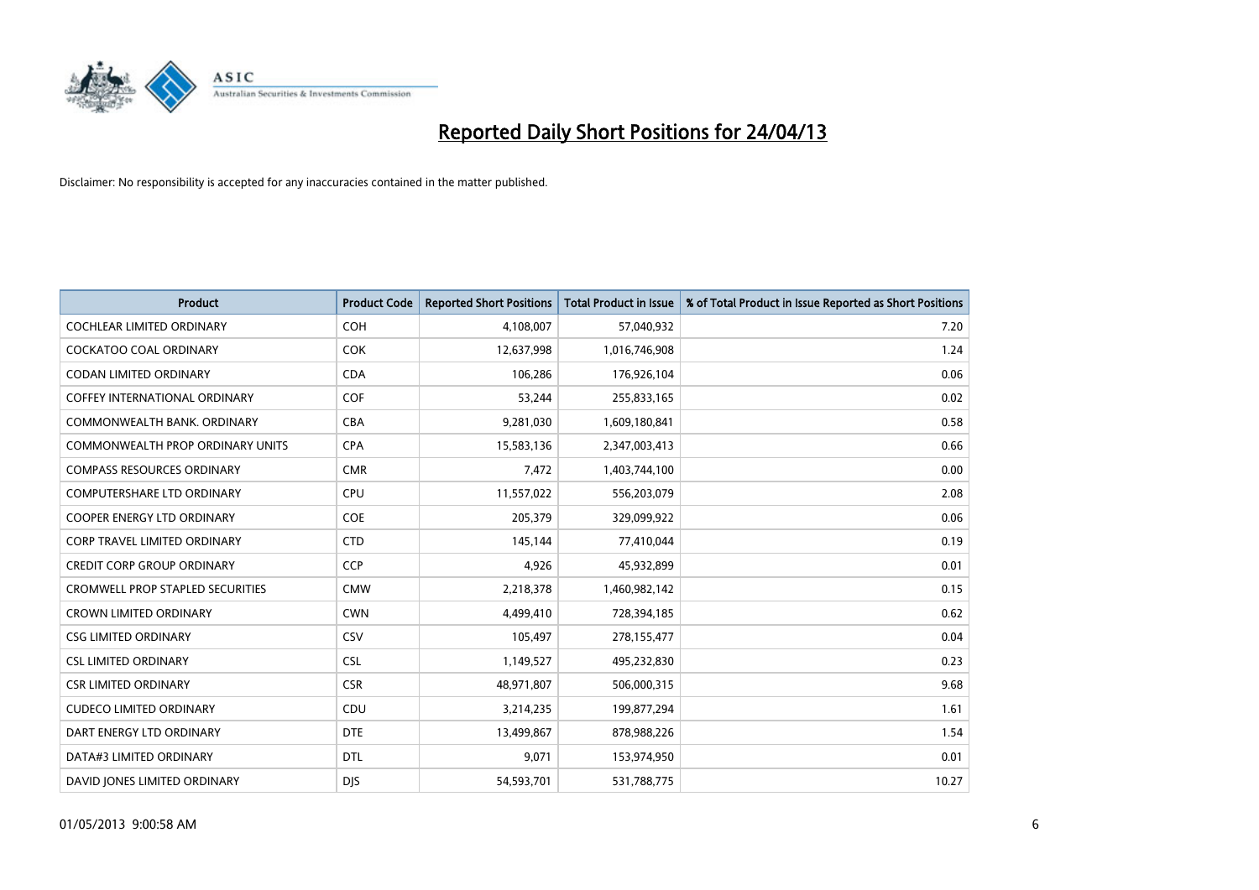

| <b>Product</b>                          | <b>Product Code</b> | <b>Reported Short Positions</b> | <b>Total Product in Issue</b> | % of Total Product in Issue Reported as Short Positions |
|-----------------------------------------|---------------------|---------------------------------|-------------------------------|---------------------------------------------------------|
| <b>COCHLEAR LIMITED ORDINARY</b>        | <b>COH</b>          | 4,108,007                       | 57,040,932                    | 7.20                                                    |
| <b>COCKATOO COAL ORDINARY</b>           | <b>COK</b>          | 12,637,998                      | 1,016,746,908                 | 1.24                                                    |
| <b>CODAN LIMITED ORDINARY</b>           | <b>CDA</b>          | 106,286                         | 176,926,104                   | 0.06                                                    |
| COFFEY INTERNATIONAL ORDINARY           | <b>COF</b>          | 53,244                          | 255,833,165                   | 0.02                                                    |
| COMMONWEALTH BANK, ORDINARY             | <b>CBA</b>          | 9,281,030                       | 1,609,180,841                 | 0.58                                                    |
| <b>COMMONWEALTH PROP ORDINARY UNITS</b> | <b>CPA</b>          | 15,583,136                      | 2,347,003,413                 | 0.66                                                    |
| <b>COMPASS RESOURCES ORDINARY</b>       | <b>CMR</b>          | 7,472                           | 1,403,744,100                 | 0.00                                                    |
| <b>COMPUTERSHARE LTD ORDINARY</b>       | <b>CPU</b>          | 11,557,022                      | 556,203,079                   | 2.08                                                    |
| COOPER ENERGY LTD ORDINARY              | <b>COE</b>          | 205,379                         | 329,099,922                   | 0.06                                                    |
| <b>CORP TRAVEL LIMITED ORDINARY</b>     | <b>CTD</b>          | 145,144                         | 77,410,044                    | 0.19                                                    |
| <b>CREDIT CORP GROUP ORDINARY</b>       | <b>CCP</b>          | 4,926                           | 45,932,899                    | 0.01                                                    |
| <b>CROMWELL PROP STAPLED SECURITIES</b> | <b>CMW</b>          | 2,218,378                       | 1,460,982,142                 | 0.15                                                    |
| <b>CROWN LIMITED ORDINARY</b>           | <b>CWN</b>          | 4,499,410                       | 728,394,185                   | 0.62                                                    |
| <b>CSG LIMITED ORDINARY</b>             | CSV                 | 105,497                         | 278,155,477                   | 0.04                                                    |
| <b>CSL LIMITED ORDINARY</b>             | <b>CSL</b>          | 1,149,527                       | 495,232,830                   | 0.23                                                    |
| <b>CSR LIMITED ORDINARY</b>             | <b>CSR</b>          | 48,971,807                      | 506,000,315                   | 9.68                                                    |
| <b>CUDECO LIMITED ORDINARY</b>          | CDU                 | 3,214,235                       | 199,877,294                   | 1.61                                                    |
| DART ENERGY LTD ORDINARY                | <b>DTE</b>          | 13,499,867                      | 878,988,226                   | 1.54                                                    |
| DATA#3 LIMITED ORDINARY                 | <b>DTL</b>          | 9,071                           | 153,974,950                   | 0.01                                                    |
| DAVID JONES LIMITED ORDINARY            | <b>DJS</b>          | 54,593,701                      | 531,788,775                   | 10.27                                                   |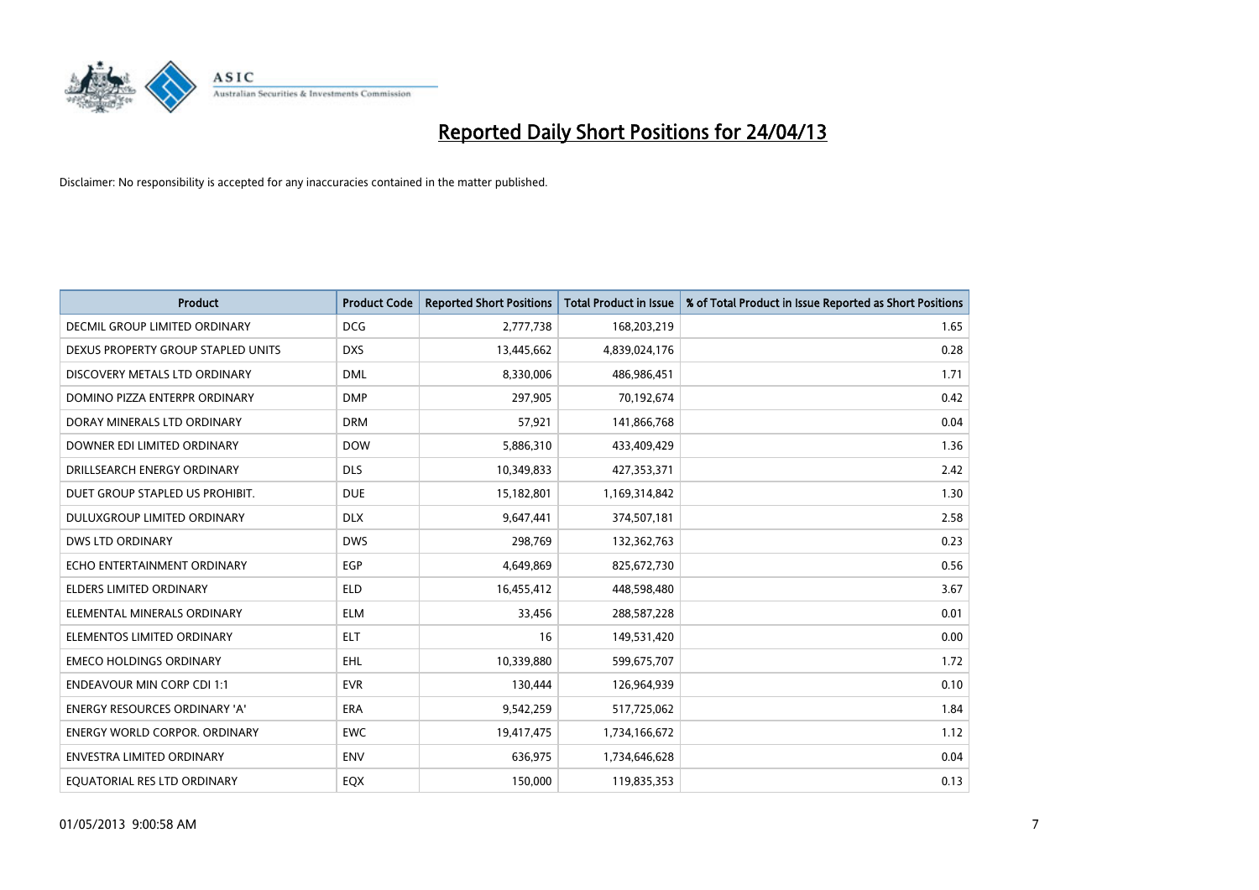

| <b>Product</b>                       | <b>Product Code</b> | <b>Reported Short Positions</b> | <b>Total Product in Issue</b> | % of Total Product in Issue Reported as Short Positions |
|--------------------------------------|---------------------|---------------------------------|-------------------------------|---------------------------------------------------------|
| <b>DECMIL GROUP LIMITED ORDINARY</b> | <b>DCG</b>          | 2,777,738                       | 168,203,219                   | 1.65                                                    |
| DEXUS PROPERTY GROUP STAPLED UNITS   | <b>DXS</b>          | 13,445,662                      | 4,839,024,176                 | 0.28                                                    |
| DISCOVERY METALS LTD ORDINARY        | <b>DML</b>          | 8,330,006                       | 486,986,451                   | 1.71                                                    |
| DOMINO PIZZA ENTERPR ORDINARY        | <b>DMP</b>          | 297,905                         | 70,192,674                    | 0.42                                                    |
| DORAY MINERALS LTD ORDINARY          | <b>DRM</b>          | 57,921                          | 141,866,768                   | 0.04                                                    |
| DOWNER EDI LIMITED ORDINARY          | <b>DOW</b>          | 5,886,310                       | 433,409,429                   | 1.36                                                    |
| DRILLSEARCH ENERGY ORDINARY          | <b>DLS</b>          | 10,349,833                      | 427,353,371                   | 2.42                                                    |
| DUET GROUP STAPLED US PROHIBIT.      | <b>DUE</b>          | 15,182,801                      | 1,169,314,842                 | 1.30                                                    |
| DULUXGROUP LIMITED ORDINARY          | <b>DLX</b>          | 9,647,441                       | 374,507,181                   | 2.58                                                    |
| <b>DWS LTD ORDINARY</b>              | <b>DWS</b>          | 298,769                         | 132,362,763                   | 0.23                                                    |
| ECHO ENTERTAINMENT ORDINARY          | <b>EGP</b>          | 4,649,869                       | 825,672,730                   | 0.56                                                    |
| ELDERS LIMITED ORDINARY              | <b>ELD</b>          | 16,455,412                      | 448,598,480                   | 3.67                                                    |
| ELEMENTAL MINERALS ORDINARY          | <b>ELM</b>          | 33,456                          | 288,587,228                   | 0.01                                                    |
| ELEMENTOS LIMITED ORDINARY           | <b>ELT</b>          | 16                              | 149,531,420                   | 0.00                                                    |
| <b>EMECO HOLDINGS ORDINARY</b>       | <b>EHL</b>          | 10,339,880                      | 599,675,707                   | 1.72                                                    |
| <b>ENDEAVOUR MIN CORP CDI 1:1</b>    | <b>EVR</b>          | 130,444                         | 126,964,939                   | 0.10                                                    |
| ENERGY RESOURCES ORDINARY 'A'        | ERA                 | 9,542,259                       | 517,725,062                   | 1.84                                                    |
| <b>ENERGY WORLD CORPOR, ORDINARY</b> | <b>EWC</b>          | 19,417,475                      | 1,734,166,672                 | 1.12                                                    |
| <b>ENVESTRA LIMITED ORDINARY</b>     | <b>ENV</b>          | 636,975                         | 1,734,646,628                 | 0.04                                                    |
| EQUATORIAL RES LTD ORDINARY          | EQX                 | 150,000                         | 119,835,353                   | 0.13                                                    |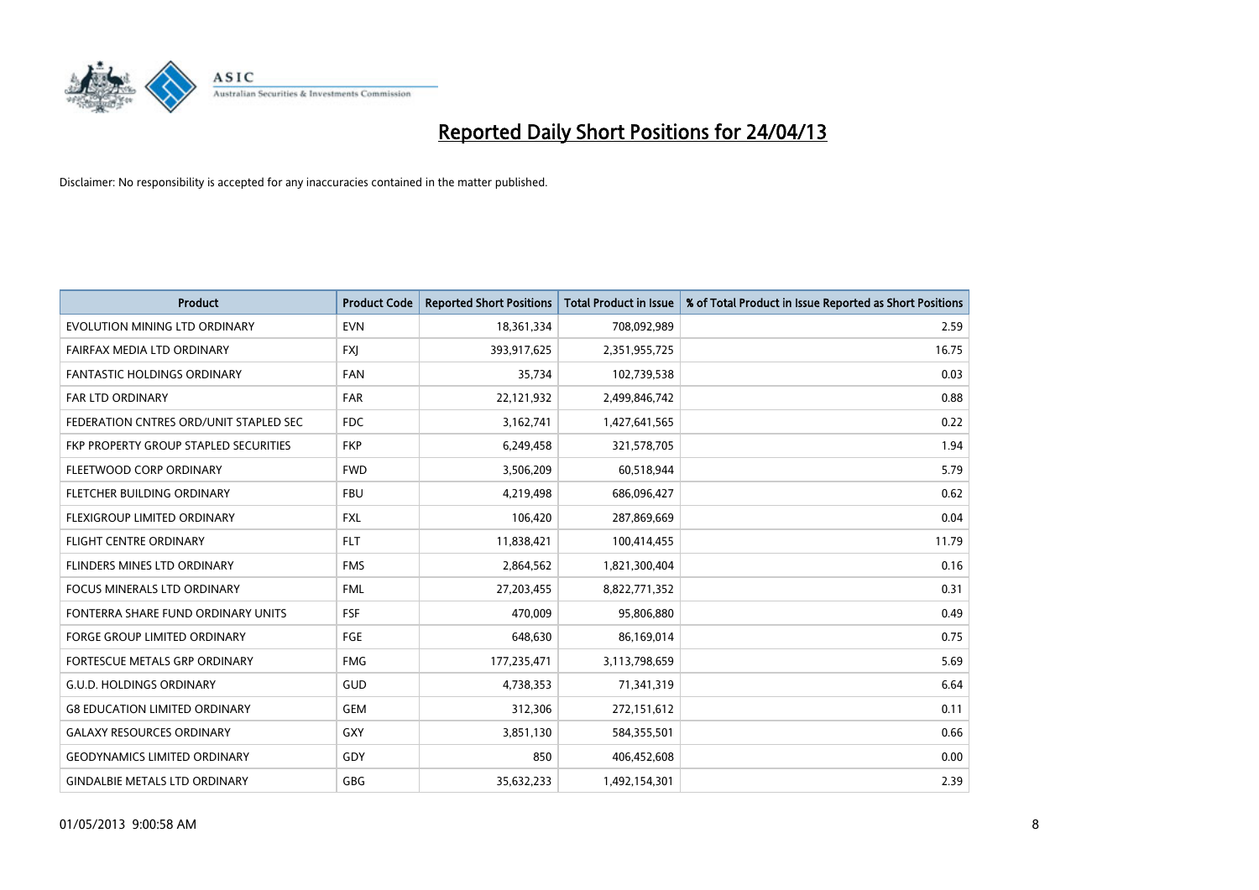

| <b>Product</b>                         | <b>Product Code</b> | <b>Reported Short Positions</b> | <b>Total Product in Issue</b> | % of Total Product in Issue Reported as Short Positions |
|----------------------------------------|---------------------|---------------------------------|-------------------------------|---------------------------------------------------------|
| <b>EVOLUTION MINING LTD ORDINARY</b>   | <b>EVN</b>          | 18,361,334                      | 708,092,989                   | 2.59                                                    |
| FAIRFAX MEDIA LTD ORDINARY             | <b>FXJ</b>          | 393,917,625                     | 2,351,955,725                 | 16.75                                                   |
| <b>FANTASTIC HOLDINGS ORDINARY</b>     | <b>FAN</b>          | 35,734                          | 102,739,538                   | 0.03                                                    |
| <b>FAR LTD ORDINARY</b>                | <b>FAR</b>          | 22,121,932                      | 2,499,846,742                 | 0.88                                                    |
| FEDERATION CNTRES ORD/UNIT STAPLED SEC | <b>FDC</b>          | 3,162,741                       | 1,427,641,565                 | 0.22                                                    |
| FKP PROPERTY GROUP STAPLED SECURITIES  | <b>FKP</b>          | 6,249,458                       | 321,578,705                   | 1.94                                                    |
| FLEETWOOD CORP ORDINARY                | <b>FWD</b>          | 3,506,209                       | 60,518,944                    | 5.79                                                    |
| FLETCHER BUILDING ORDINARY             | <b>FBU</b>          | 4,219,498                       | 686,096,427                   | 0.62                                                    |
| FLEXIGROUP LIMITED ORDINARY            | <b>FXL</b>          | 106,420                         | 287,869,669                   | 0.04                                                    |
| <b>FLIGHT CENTRE ORDINARY</b>          | <b>FLT</b>          | 11,838,421                      | 100,414,455                   | 11.79                                                   |
| FLINDERS MINES LTD ORDINARY            | <b>FMS</b>          | 2,864,562                       | 1,821,300,404                 | 0.16                                                    |
| <b>FOCUS MINERALS LTD ORDINARY</b>     | <b>FML</b>          | 27,203,455                      | 8,822,771,352                 | 0.31                                                    |
| FONTERRA SHARE FUND ORDINARY UNITS     | <b>FSF</b>          | 470,009                         | 95,806,880                    | 0.49                                                    |
| <b>FORGE GROUP LIMITED ORDINARY</b>    | FGE                 | 648,630                         | 86,169,014                    | 0.75                                                    |
| FORTESCUE METALS GRP ORDINARY          | <b>FMG</b>          | 177,235,471                     | 3,113,798,659                 | 5.69                                                    |
| <b>G.U.D. HOLDINGS ORDINARY</b>        | GUD                 | 4,738,353                       | 71,341,319                    | 6.64                                                    |
| <b>G8 EDUCATION LIMITED ORDINARY</b>   | <b>GEM</b>          | 312,306                         | 272,151,612                   | 0.11                                                    |
| <b>GALAXY RESOURCES ORDINARY</b>       | GXY                 | 3,851,130                       | 584,355,501                   | 0.66                                                    |
| <b>GEODYNAMICS LIMITED ORDINARY</b>    | GDY                 | 850                             | 406,452,608                   | 0.00                                                    |
| <b>GINDALBIE METALS LTD ORDINARY</b>   | GBG                 | 35,632,233                      | 1,492,154,301                 | 2.39                                                    |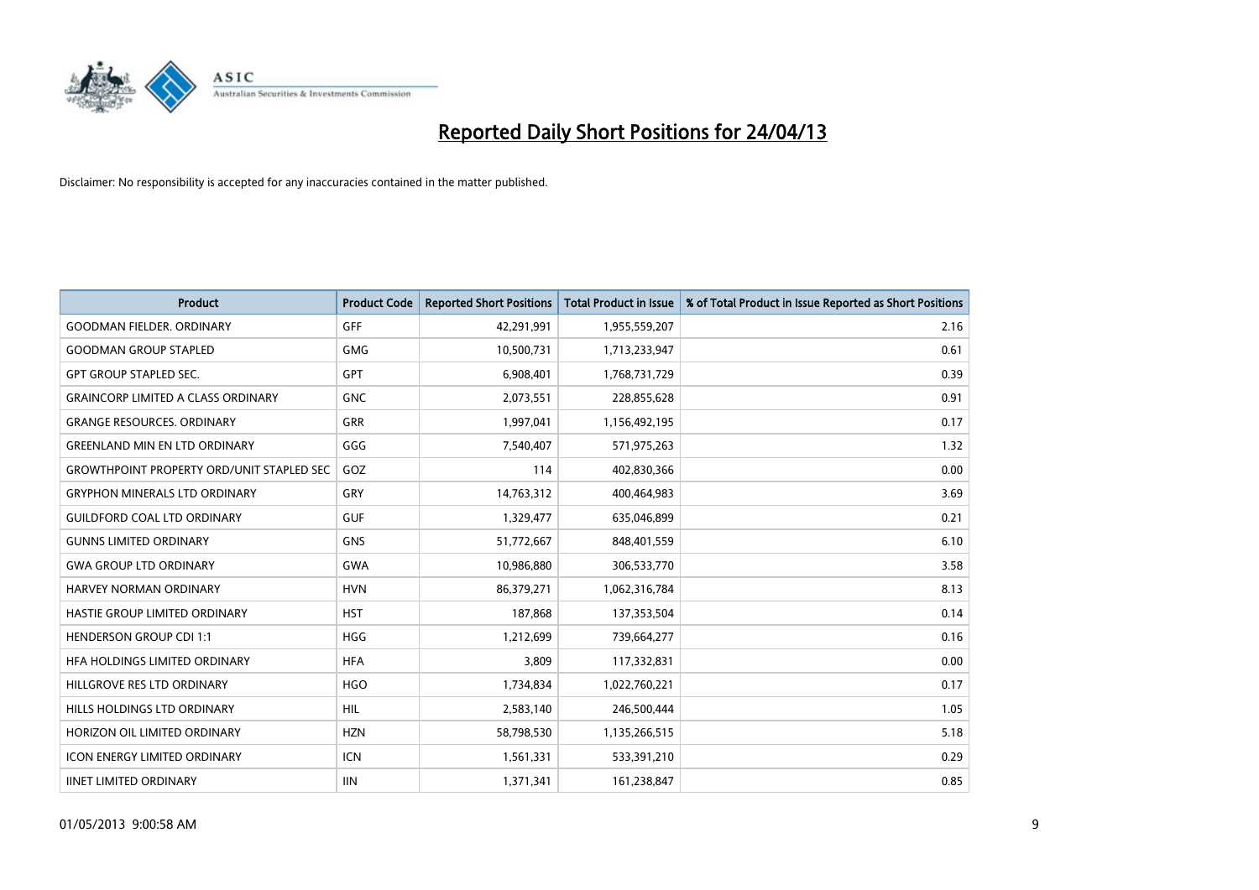

| Product                                          | <b>Product Code</b> | <b>Reported Short Positions</b> | <b>Total Product in Issue</b> | % of Total Product in Issue Reported as Short Positions |
|--------------------------------------------------|---------------------|---------------------------------|-------------------------------|---------------------------------------------------------|
| <b>GOODMAN FIELDER, ORDINARY</b>                 | <b>GFF</b>          | 42,291,991                      | 1,955,559,207                 | 2.16                                                    |
| <b>GOODMAN GROUP STAPLED</b>                     | GMG                 | 10,500,731                      | 1,713,233,947                 | 0.61                                                    |
| <b>GPT GROUP STAPLED SEC.</b>                    | <b>GPT</b>          | 6,908,401                       | 1,768,731,729                 | 0.39                                                    |
| <b>GRAINCORP LIMITED A CLASS ORDINARY</b>        | <b>GNC</b>          | 2,073,551                       | 228,855,628                   | 0.91                                                    |
| <b>GRANGE RESOURCES, ORDINARY</b>                | GRR                 | 1,997,041                       | 1,156,492,195                 | 0.17                                                    |
| <b>GREENLAND MIN EN LTD ORDINARY</b>             | GGG                 | 7,540,407                       | 571,975,263                   | 1.32                                                    |
| <b>GROWTHPOINT PROPERTY ORD/UNIT STAPLED SEC</b> | GOZ                 | 114                             | 402,830,366                   | 0.00                                                    |
| <b>GRYPHON MINERALS LTD ORDINARY</b>             | GRY                 | 14,763,312                      | 400,464,983                   | 3.69                                                    |
| <b>GUILDFORD COAL LTD ORDINARY</b>               | <b>GUF</b>          | 1,329,477                       | 635,046,899                   | 0.21                                                    |
| <b>GUNNS LIMITED ORDINARY</b>                    | <b>GNS</b>          | 51,772,667                      | 848,401,559                   | 6.10                                                    |
| <b>GWA GROUP LTD ORDINARY</b>                    | <b>GWA</b>          | 10,986,880                      | 306,533,770                   | 3.58                                                    |
| <b>HARVEY NORMAN ORDINARY</b>                    | <b>HVN</b>          | 86,379,271                      | 1,062,316,784                 | 8.13                                                    |
| HASTIE GROUP LIMITED ORDINARY                    | <b>HST</b>          | 187,868                         | 137,353,504                   | 0.14                                                    |
| <b>HENDERSON GROUP CDI 1:1</b>                   | <b>HGG</b>          | 1,212,699                       | 739,664,277                   | 0.16                                                    |
| HFA HOLDINGS LIMITED ORDINARY                    | <b>HFA</b>          | 3,809                           | 117,332,831                   | 0.00                                                    |
| HILLGROVE RES LTD ORDINARY                       | <b>HGO</b>          | 1,734,834                       | 1,022,760,221                 | 0.17                                                    |
| HILLS HOLDINGS LTD ORDINARY                      | <b>HIL</b>          | 2,583,140                       | 246,500,444                   | 1.05                                                    |
| HORIZON OIL LIMITED ORDINARY                     | <b>HZN</b>          | 58,798,530                      | 1,135,266,515                 | 5.18                                                    |
| <b>ICON ENERGY LIMITED ORDINARY</b>              | <b>ICN</b>          | 1,561,331                       | 533,391,210                   | 0.29                                                    |
| <b>IINET LIMITED ORDINARY</b>                    | <b>IIN</b>          | 1,371,341                       | 161,238,847                   | 0.85                                                    |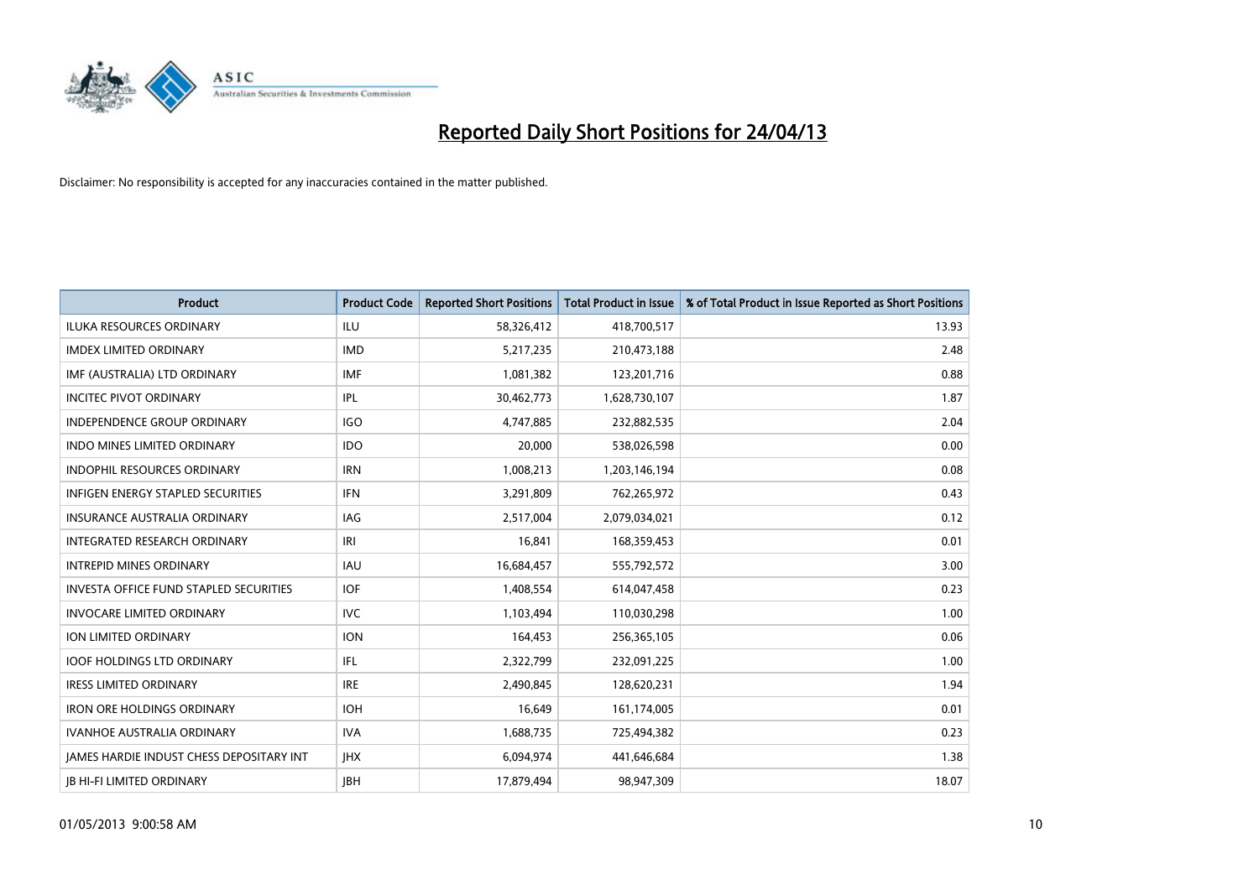

| <b>Product</b>                                | <b>Product Code</b> | <b>Reported Short Positions</b> | <b>Total Product in Issue</b> | % of Total Product in Issue Reported as Short Positions |
|-----------------------------------------------|---------------------|---------------------------------|-------------------------------|---------------------------------------------------------|
| <b>ILUKA RESOURCES ORDINARY</b>               | <b>ILU</b>          | 58,326,412                      | 418,700,517                   | 13.93                                                   |
| <b>IMDEX LIMITED ORDINARY</b>                 | <b>IMD</b>          | 5,217,235                       | 210,473,188                   | 2.48                                                    |
| IMF (AUSTRALIA) LTD ORDINARY                  | <b>IMF</b>          | 1,081,382                       | 123,201,716                   | 0.88                                                    |
| <b>INCITEC PIVOT ORDINARY</b>                 | <b>IPL</b>          | 30,462,773                      | 1,628,730,107                 | 1.87                                                    |
| <b>INDEPENDENCE GROUP ORDINARY</b>            | <b>IGO</b>          | 4,747,885                       | 232,882,535                   | 2.04                                                    |
| <b>INDO MINES LIMITED ORDINARY</b>            | <b>IDO</b>          | 20,000                          | 538,026,598                   | 0.00                                                    |
| <b>INDOPHIL RESOURCES ORDINARY</b>            | <b>IRN</b>          | 1,008,213                       | 1,203,146,194                 | 0.08                                                    |
| <b>INFIGEN ENERGY STAPLED SECURITIES</b>      | <b>IFN</b>          | 3,291,809                       | 762,265,972                   | 0.43                                                    |
| <b>INSURANCE AUSTRALIA ORDINARY</b>           | IAG                 | 2,517,004                       | 2,079,034,021                 | 0.12                                                    |
| INTEGRATED RESEARCH ORDINARY                  | IRI                 | 16,841                          | 168,359,453                   | 0.01                                                    |
| <b>INTREPID MINES ORDINARY</b>                | <b>IAU</b>          | 16,684,457                      | 555,792,572                   | 3.00                                                    |
| <b>INVESTA OFFICE FUND STAPLED SECURITIES</b> | <b>IOF</b>          | 1,408,554                       | 614,047,458                   | 0.23                                                    |
| <b>INVOCARE LIMITED ORDINARY</b>              | <b>IVC</b>          | 1,103,494                       | 110,030,298                   | 1.00                                                    |
| <b>ION LIMITED ORDINARY</b>                   | <b>ION</b>          | 164,453                         | 256,365,105                   | 0.06                                                    |
| <b>IOOF HOLDINGS LTD ORDINARY</b>             | IFL                 | 2,322,799                       | 232,091,225                   | 1.00                                                    |
| <b>IRESS LIMITED ORDINARY</b>                 | <b>IRE</b>          | 2,490,845                       | 128,620,231                   | 1.94                                                    |
| <b>IRON ORE HOLDINGS ORDINARY</b>             | <b>IOH</b>          | 16,649                          | 161,174,005                   | 0.01                                                    |
| <b>IVANHOE AUSTRALIA ORDINARY</b>             | <b>IVA</b>          | 1,688,735                       | 725,494,382                   | 0.23                                                    |
| JAMES HARDIE INDUST CHESS DEPOSITARY INT      | <b>IHX</b>          | 6,094,974                       | 441,646,684                   | 1.38                                                    |
| <b>JB HI-FI LIMITED ORDINARY</b>              | <b>IBH</b>          | 17,879,494                      | 98,947,309                    | 18.07                                                   |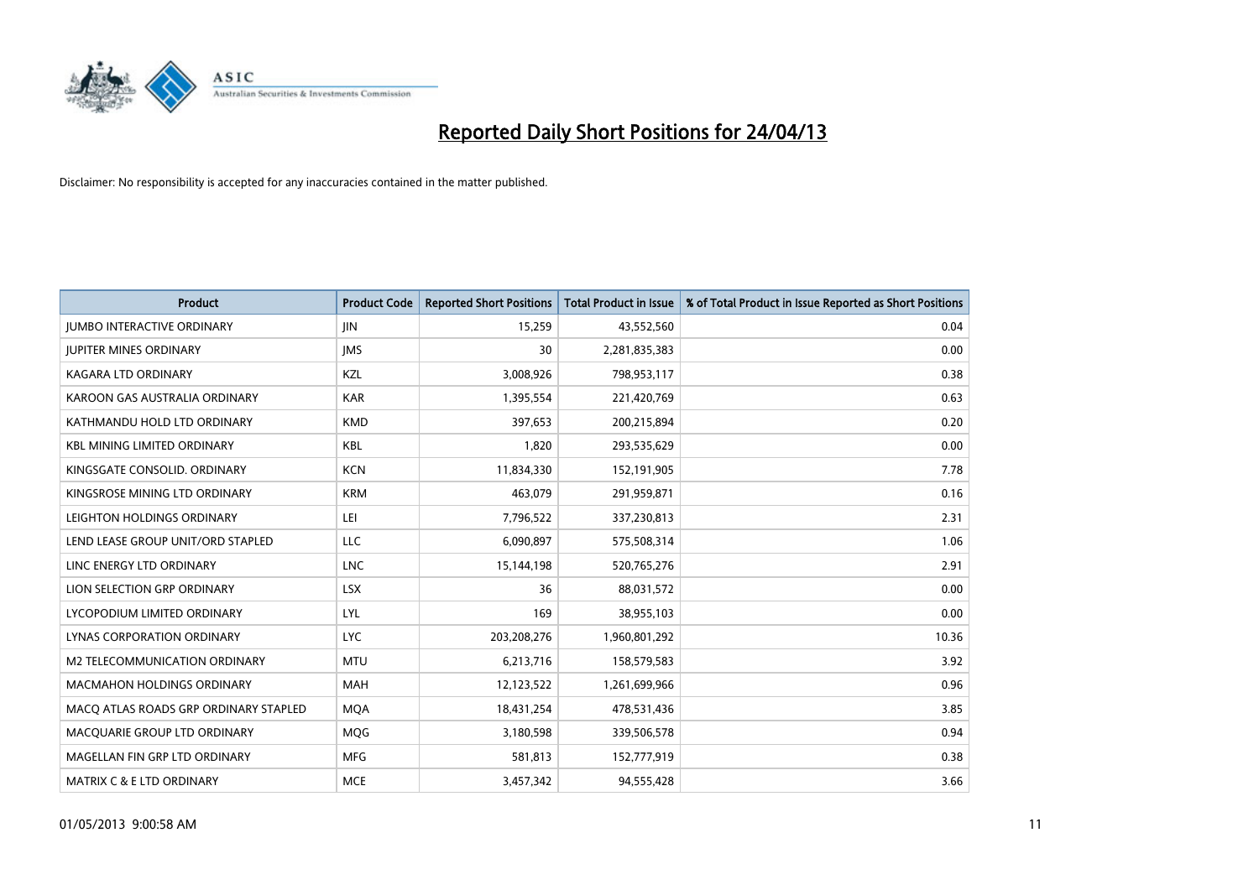

| <b>Product</b>                        | <b>Product Code</b> | <b>Reported Short Positions</b> | <b>Total Product in Issue</b> | % of Total Product in Issue Reported as Short Positions |
|---------------------------------------|---------------------|---------------------------------|-------------------------------|---------------------------------------------------------|
| <b>JUMBO INTERACTIVE ORDINARY</b>     | <b>JIN</b>          | 15,259                          | 43,552,560                    | 0.04                                                    |
| <b>JUPITER MINES ORDINARY</b>         | <b>IMS</b>          | 30                              | 2,281,835,383                 | 0.00                                                    |
| <b>KAGARA LTD ORDINARY</b>            | KZL                 | 3,008,926                       | 798,953,117                   | 0.38                                                    |
| KAROON GAS AUSTRALIA ORDINARY         | <b>KAR</b>          | 1,395,554                       | 221,420,769                   | 0.63                                                    |
| KATHMANDU HOLD LTD ORDINARY           | <b>KMD</b>          | 397,653                         | 200,215,894                   | 0.20                                                    |
| <b>KBL MINING LIMITED ORDINARY</b>    | <b>KBL</b>          | 1,820                           | 293,535,629                   | 0.00                                                    |
| KINGSGATE CONSOLID. ORDINARY          | <b>KCN</b>          | 11,834,330                      | 152,191,905                   | 7.78                                                    |
| KINGSROSE MINING LTD ORDINARY         | <b>KRM</b>          | 463,079                         | 291,959,871                   | 0.16                                                    |
| LEIGHTON HOLDINGS ORDINARY            | LEI                 | 7,796,522                       | 337,230,813                   | 2.31                                                    |
| LEND LEASE GROUP UNIT/ORD STAPLED     | LLC                 | 6,090,897                       | 575,508,314                   | 1.06                                                    |
| LINC ENERGY LTD ORDINARY              | <b>LNC</b>          | 15,144,198                      | 520,765,276                   | 2.91                                                    |
| LION SELECTION GRP ORDINARY           | <b>LSX</b>          | 36                              | 88,031,572                    | 0.00                                                    |
| LYCOPODIUM LIMITED ORDINARY           | <b>LYL</b>          | 169                             | 38,955,103                    | 0.00                                                    |
| LYNAS CORPORATION ORDINARY            | <b>LYC</b>          | 203,208,276                     | 1,960,801,292                 | 10.36                                                   |
| M2 TELECOMMUNICATION ORDINARY         | <b>MTU</b>          | 6,213,716                       | 158,579,583                   | 3.92                                                    |
| MACMAHON HOLDINGS ORDINARY            | MAH                 | 12,123,522                      | 1,261,699,966                 | 0.96                                                    |
| MACO ATLAS ROADS GRP ORDINARY STAPLED | <b>MQA</b>          | 18,431,254                      | 478,531,436                   | 3.85                                                    |
| MACQUARIE GROUP LTD ORDINARY          | MQG                 | 3,180,598                       | 339,506,578                   | 0.94                                                    |
| MAGELLAN FIN GRP LTD ORDINARY         | <b>MFG</b>          | 581,813                         | 152,777,919                   | 0.38                                                    |
| <b>MATRIX C &amp; E LTD ORDINARY</b>  | <b>MCE</b>          | 3,457,342                       | 94,555,428                    | 3.66                                                    |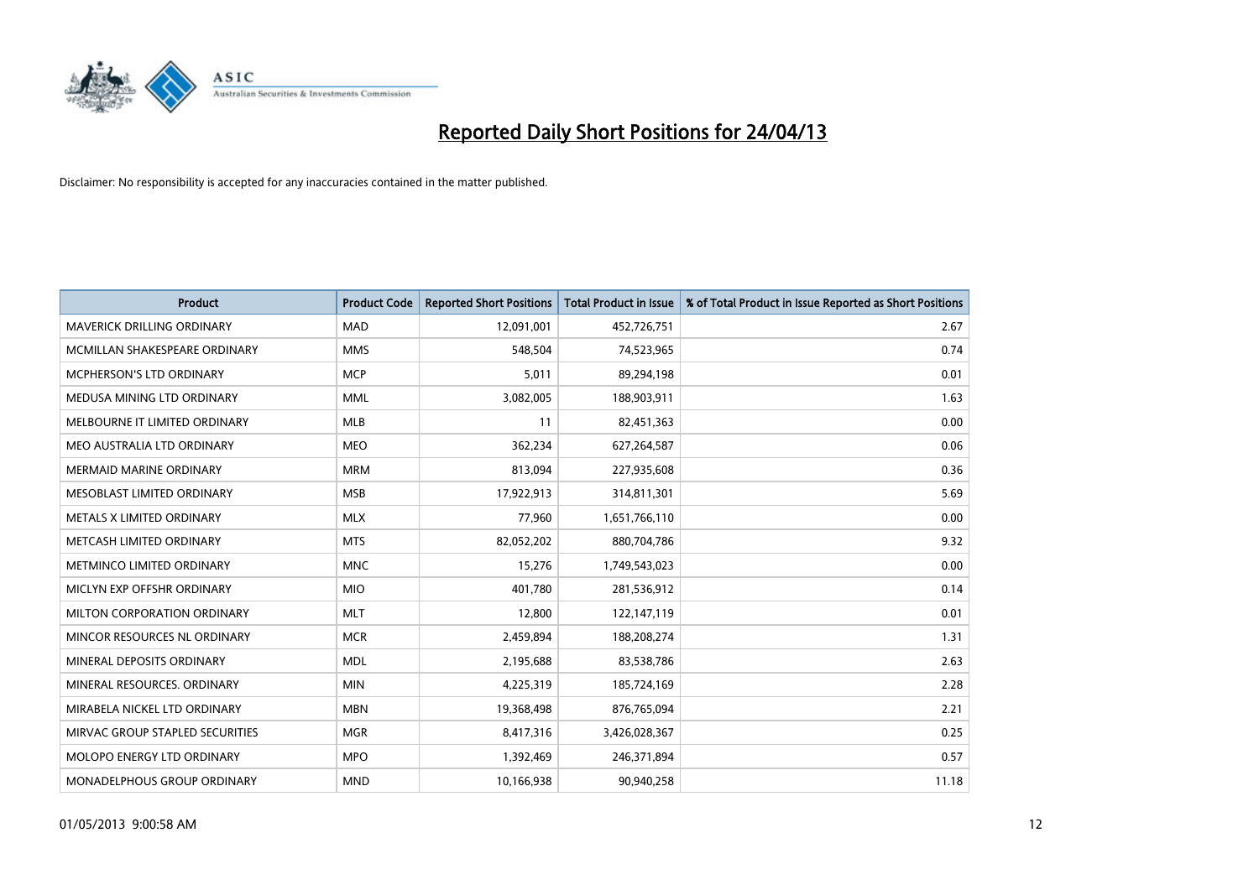

| <b>Product</b>                    | <b>Product Code</b> | <b>Reported Short Positions</b> | <b>Total Product in Issue</b> | % of Total Product in Issue Reported as Short Positions |
|-----------------------------------|---------------------|---------------------------------|-------------------------------|---------------------------------------------------------|
| <b>MAVERICK DRILLING ORDINARY</b> | <b>MAD</b>          | 12,091,001                      | 452,726,751                   | 2.67                                                    |
| MCMILLAN SHAKESPEARE ORDINARY     | <b>MMS</b>          | 548,504                         | 74,523,965                    | 0.74                                                    |
| MCPHERSON'S LTD ORDINARY          | <b>MCP</b>          | 5,011                           | 89,294,198                    | 0.01                                                    |
| MEDUSA MINING LTD ORDINARY        | <b>MML</b>          | 3,082,005                       | 188,903,911                   | 1.63                                                    |
| MELBOURNE IT LIMITED ORDINARY     | <b>MLB</b>          | 11                              | 82,451,363                    | 0.00                                                    |
| MEO AUSTRALIA LTD ORDINARY        | <b>MEO</b>          | 362,234                         | 627,264,587                   | 0.06                                                    |
| <b>MERMAID MARINE ORDINARY</b>    | <b>MRM</b>          | 813,094                         | 227,935,608                   | 0.36                                                    |
| MESOBLAST LIMITED ORDINARY        | <b>MSB</b>          | 17,922,913                      | 314,811,301                   | 5.69                                                    |
| METALS X LIMITED ORDINARY         | <b>MLX</b>          | 77,960                          | 1,651,766,110                 | 0.00                                                    |
| METCASH LIMITED ORDINARY          | <b>MTS</b>          | 82,052,202                      | 880,704,786                   | 9.32                                                    |
| METMINCO LIMITED ORDINARY         | <b>MNC</b>          | 15,276                          | 1,749,543,023                 | 0.00                                                    |
| MICLYN EXP OFFSHR ORDINARY        | <b>MIO</b>          | 401,780                         | 281,536,912                   | 0.14                                                    |
| MILTON CORPORATION ORDINARY       | <b>MLT</b>          | 12,800                          | 122,147,119                   | 0.01                                                    |
| MINCOR RESOURCES NL ORDINARY      | <b>MCR</b>          | 2,459,894                       | 188,208,274                   | 1.31                                                    |
| MINERAL DEPOSITS ORDINARY         | <b>MDL</b>          | 2,195,688                       | 83,538,786                    | 2.63                                                    |
| MINERAL RESOURCES. ORDINARY       | <b>MIN</b>          | 4,225,319                       | 185,724,169                   | 2.28                                                    |
| MIRABELA NICKEL LTD ORDINARY      | <b>MBN</b>          | 19,368,498                      | 876,765,094                   | 2.21                                                    |
| MIRVAC GROUP STAPLED SECURITIES   | <b>MGR</b>          | 8,417,316                       | 3,426,028,367                 | 0.25                                                    |
| MOLOPO ENERGY LTD ORDINARY        | <b>MPO</b>          | 1,392,469                       | 246,371,894                   | 0.57                                                    |
| MONADELPHOUS GROUP ORDINARY       | <b>MND</b>          | 10,166,938                      | 90,940,258                    | 11.18                                                   |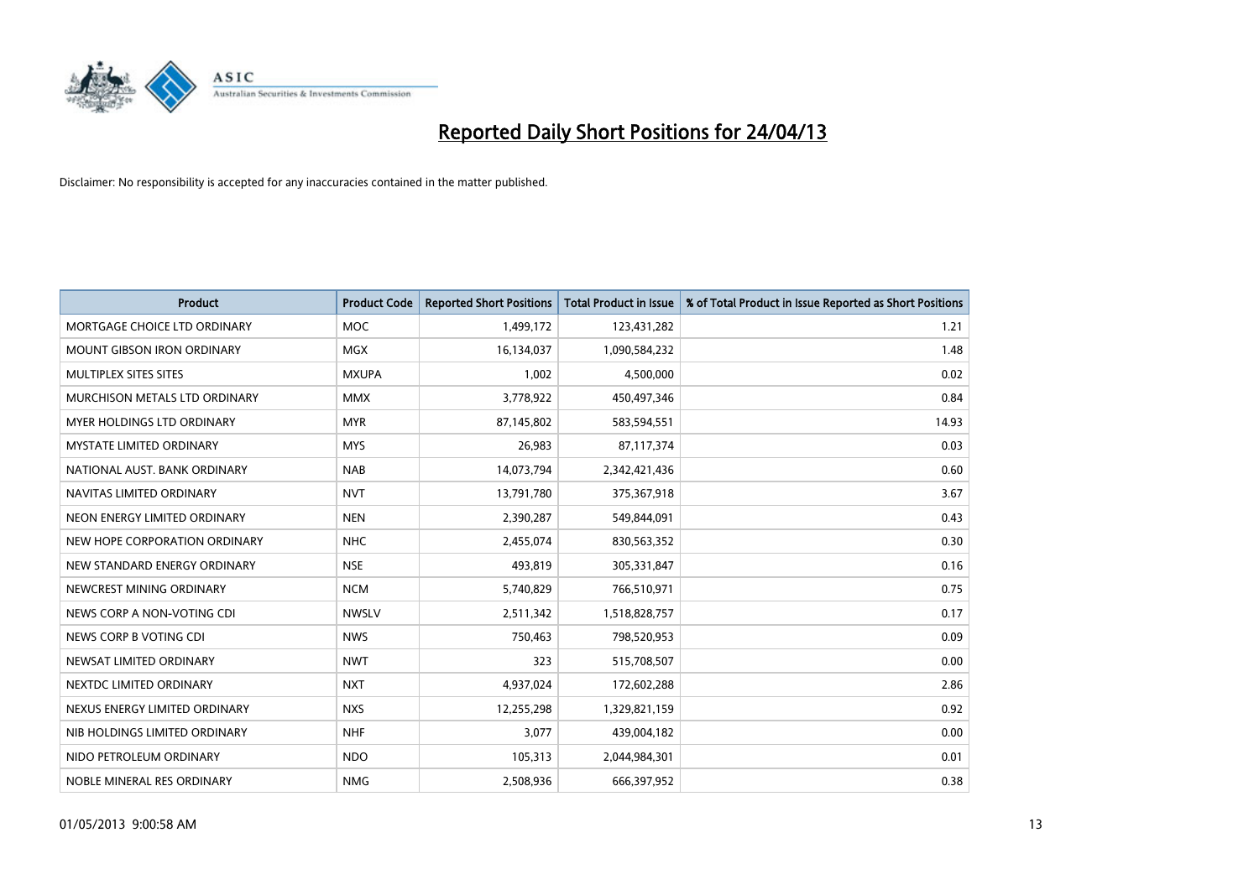

| <b>Product</b>                    | <b>Product Code</b> | <b>Reported Short Positions</b> | <b>Total Product in Issue</b> | % of Total Product in Issue Reported as Short Positions |
|-----------------------------------|---------------------|---------------------------------|-------------------------------|---------------------------------------------------------|
| MORTGAGE CHOICE LTD ORDINARY      | <b>MOC</b>          | 1,499,172                       | 123,431,282                   | 1.21                                                    |
| <b>MOUNT GIBSON IRON ORDINARY</b> | <b>MGX</b>          | 16,134,037                      | 1,090,584,232                 | 1.48                                                    |
| MULTIPLEX SITES SITES             | <b>MXUPA</b>        | 1,002                           | 4,500,000                     | 0.02                                                    |
| MURCHISON METALS LTD ORDINARY     | <b>MMX</b>          | 3,778,922                       | 450,497,346                   | 0.84                                                    |
| <b>MYER HOLDINGS LTD ORDINARY</b> | <b>MYR</b>          | 87,145,802                      | 583,594,551                   | 14.93                                                   |
| <b>MYSTATE LIMITED ORDINARY</b>   | <b>MYS</b>          | 26,983                          | 87,117,374                    | 0.03                                                    |
| NATIONAL AUST, BANK ORDINARY      | <b>NAB</b>          | 14,073,794                      | 2,342,421,436                 | 0.60                                                    |
| NAVITAS LIMITED ORDINARY          | <b>NVT</b>          | 13,791,780                      | 375,367,918                   | 3.67                                                    |
| NEON ENERGY LIMITED ORDINARY      | <b>NEN</b>          | 2,390,287                       | 549,844,091                   | 0.43                                                    |
| NEW HOPE CORPORATION ORDINARY     | <b>NHC</b>          | 2,455,074                       | 830,563,352                   | 0.30                                                    |
| NEW STANDARD ENERGY ORDINARY      | <b>NSE</b>          | 493,819                         | 305,331,847                   | 0.16                                                    |
| NEWCREST MINING ORDINARY          | <b>NCM</b>          | 5,740,829                       | 766,510,971                   | 0.75                                                    |
| NEWS CORP A NON-VOTING CDI        | <b>NWSLV</b>        | 2,511,342                       | 1,518,828,757                 | 0.17                                                    |
| NEWS CORP B VOTING CDI            | <b>NWS</b>          | 750,463                         | 798,520,953                   | 0.09                                                    |
| NEWSAT LIMITED ORDINARY           | <b>NWT</b>          | 323                             | 515,708,507                   | 0.00                                                    |
| NEXTDC LIMITED ORDINARY           | <b>NXT</b>          | 4,937,024                       | 172,602,288                   | 2.86                                                    |
| NEXUS ENERGY LIMITED ORDINARY     | <b>NXS</b>          | 12,255,298                      | 1,329,821,159                 | 0.92                                                    |
| NIB HOLDINGS LIMITED ORDINARY     | <b>NHF</b>          | 3,077                           | 439,004,182                   | 0.00                                                    |
| NIDO PETROLEUM ORDINARY           | <b>NDO</b>          | 105,313                         | 2,044,984,301                 | 0.01                                                    |
| NOBLE MINERAL RES ORDINARY        | <b>NMG</b>          | 2,508,936                       | 666,397,952                   | 0.38                                                    |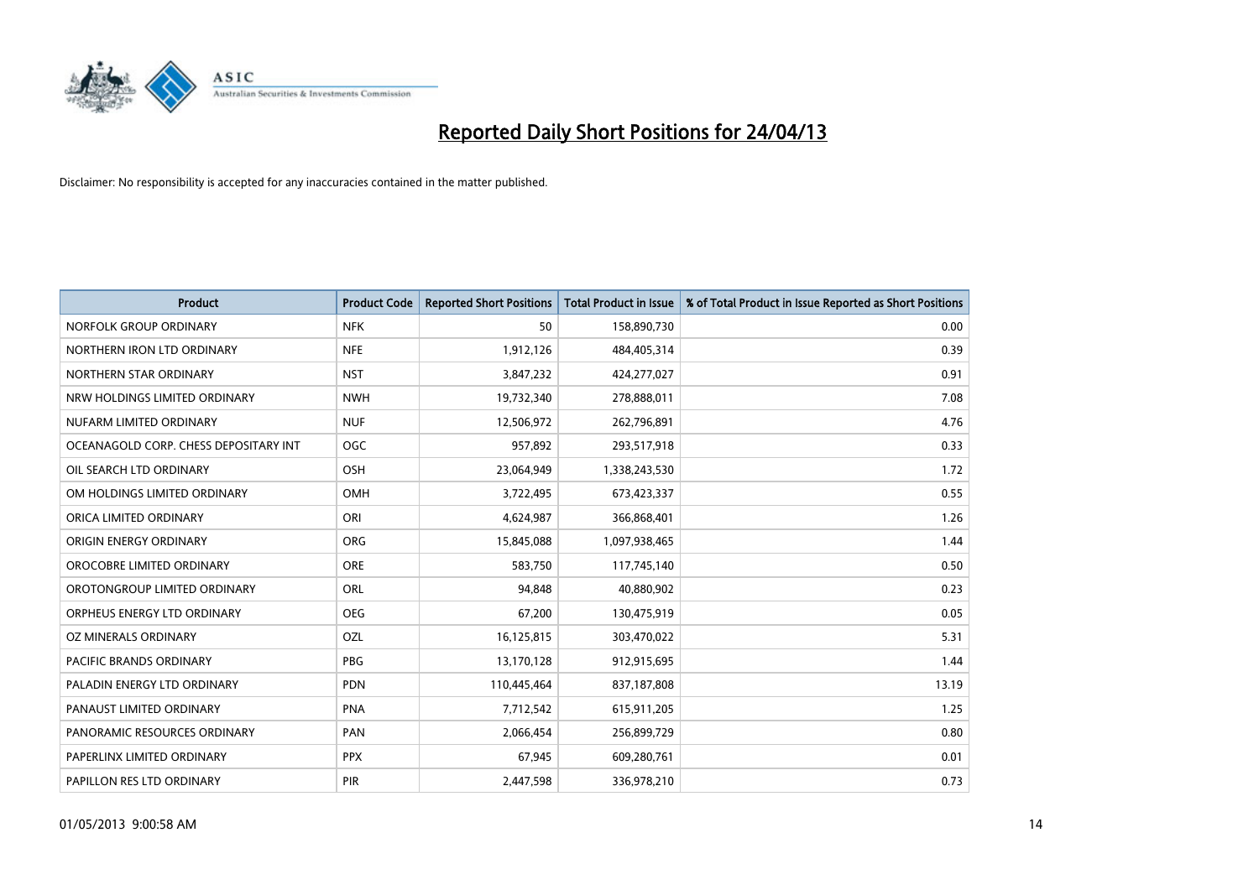

| <b>Product</b>                        | <b>Product Code</b> | <b>Reported Short Positions</b> | <b>Total Product in Issue</b> | % of Total Product in Issue Reported as Short Positions |
|---------------------------------------|---------------------|---------------------------------|-------------------------------|---------------------------------------------------------|
| NORFOLK GROUP ORDINARY                | <b>NFK</b>          | 50                              | 158,890,730                   | 0.00                                                    |
| NORTHERN IRON LTD ORDINARY            | <b>NFE</b>          | 1,912,126                       | 484,405,314                   | 0.39                                                    |
| NORTHERN STAR ORDINARY                | <b>NST</b>          | 3,847,232                       | 424,277,027                   | 0.91                                                    |
| NRW HOLDINGS LIMITED ORDINARY         | <b>NWH</b>          | 19,732,340                      | 278,888,011                   | 7.08                                                    |
| NUFARM LIMITED ORDINARY               | <b>NUF</b>          | 12,506,972                      | 262,796,891                   | 4.76                                                    |
| OCEANAGOLD CORP. CHESS DEPOSITARY INT | <b>OGC</b>          | 957,892                         | 293,517,918                   | 0.33                                                    |
| OIL SEARCH LTD ORDINARY               | OSH                 | 23,064,949                      | 1,338,243,530                 | 1.72                                                    |
| OM HOLDINGS LIMITED ORDINARY          | OMH                 | 3,722,495                       | 673,423,337                   | 0.55                                                    |
| ORICA LIMITED ORDINARY                | ORI                 | 4,624,987                       | 366,868,401                   | 1.26                                                    |
| ORIGIN ENERGY ORDINARY                | <b>ORG</b>          | 15,845,088                      | 1,097,938,465                 | 1.44                                                    |
| OROCOBRE LIMITED ORDINARY             | <b>ORE</b>          | 583,750                         | 117,745,140                   | 0.50                                                    |
| OROTONGROUP LIMITED ORDINARY          | <b>ORL</b>          | 94,848                          | 40,880,902                    | 0.23                                                    |
| ORPHEUS ENERGY LTD ORDINARY           | <b>OEG</b>          | 67,200                          | 130,475,919                   | 0.05                                                    |
| OZ MINERALS ORDINARY                  | OZL                 | 16,125,815                      | 303,470,022                   | 5.31                                                    |
| PACIFIC BRANDS ORDINARY               | <b>PBG</b>          | 13,170,128                      | 912,915,695                   | 1.44                                                    |
| PALADIN ENERGY LTD ORDINARY           | <b>PDN</b>          | 110,445,464                     | 837,187,808                   | 13.19                                                   |
| PANAUST LIMITED ORDINARY              | <b>PNA</b>          | 7,712,542                       | 615,911,205                   | 1.25                                                    |
| PANORAMIC RESOURCES ORDINARY          | PAN                 | 2,066,454                       | 256,899,729                   | 0.80                                                    |
| PAPERLINX LIMITED ORDINARY            | <b>PPX</b>          | 67,945                          | 609,280,761                   | 0.01                                                    |
| PAPILLON RES LTD ORDINARY             | PIR                 | 2,447,598                       | 336,978,210                   | 0.73                                                    |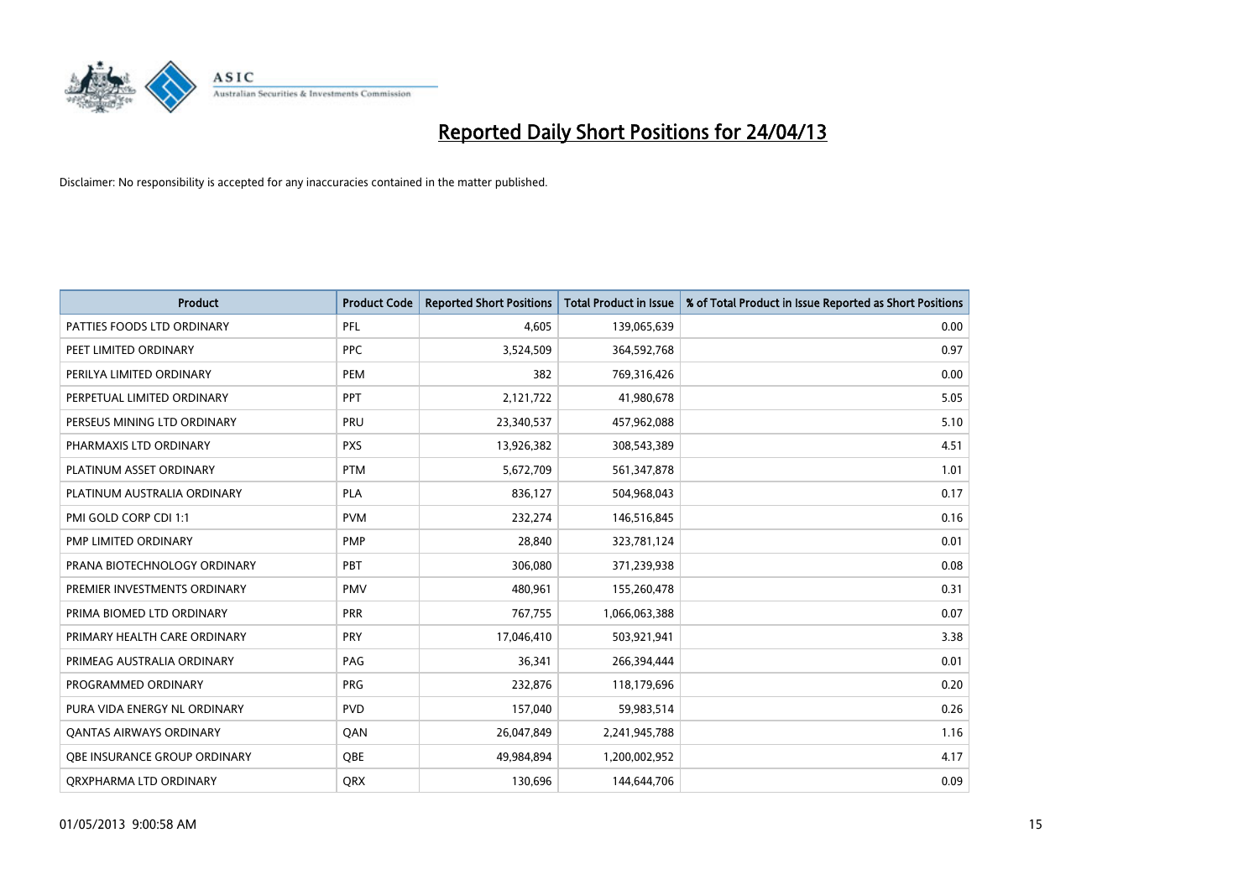

| <b>Product</b>                 | <b>Product Code</b> | <b>Reported Short Positions</b> | <b>Total Product in Issue</b> | % of Total Product in Issue Reported as Short Positions |
|--------------------------------|---------------------|---------------------------------|-------------------------------|---------------------------------------------------------|
| PATTIES FOODS LTD ORDINARY     | PFL                 | 4,605                           | 139,065,639                   | 0.00                                                    |
| PEET LIMITED ORDINARY          | <b>PPC</b>          | 3,524,509                       | 364,592,768                   | 0.97                                                    |
| PERILYA LIMITED ORDINARY       | <b>PEM</b>          | 382                             | 769,316,426                   | 0.00                                                    |
| PERPETUAL LIMITED ORDINARY     | PPT                 | 2,121,722                       | 41,980,678                    | 5.05                                                    |
| PERSEUS MINING LTD ORDINARY    | PRU                 | 23,340,537                      | 457,962,088                   | 5.10                                                    |
| PHARMAXIS LTD ORDINARY         | <b>PXS</b>          | 13,926,382                      | 308,543,389                   | 4.51                                                    |
| PLATINUM ASSET ORDINARY        | <b>PTM</b>          | 5,672,709                       | 561,347,878                   | 1.01                                                    |
| PLATINUM AUSTRALIA ORDINARY    | PLA                 | 836,127                         | 504,968,043                   | 0.17                                                    |
| PMI GOLD CORP CDI 1:1          | <b>PVM</b>          | 232,274                         | 146,516,845                   | 0.16                                                    |
| PMP LIMITED ORDINARY           | <b>PMP</b>          | 28,840                          | 323,781,124                   | 0.01                                                    |
| PRANA BIOTECHNOLOGY ORDINARY   | PBT                 | 306,080                         | 371,239,938                   | 0.08                                                    |
| PREMIER INVESTMENTS ORDINARY   | <b>PMV</b>          | 480,961                         | 155,260,478                   | 0.31                                                    |
| PRIMA BIOMED LTD ORDINARY      | <b>PRR</b>          | 767,755                         | 1,066,063,388                 | 0.07                                                    |
| PRIMARY HEALTH CARE ORDINARY   | <b>PRY</b>          | 17,046,410                      | 503,921,941                   | 3.38                                                    |
| PRIMEAG AUSTRALIA ORDINARY     | PAG                 | 36,341                          | 266,394,444                   | 0.01                                                    |
| PROGRAMMED ORDINARY            | <b>PRG</b>          | 232,876                         | 118,179,696                   | 0.20                                                    |
| PURA VIDA ENERGY NL ORDINARY   | <b>PVD</b>          | 157,040                         | 59,983,514                    | 0.26                                                    |
| <b>QANTAS AIRWAYS ORDINARY</b> | QAN                 | 26,047,849                      | 2,241,945,788                 | 1.16                                                    |
| OBE INSURANCE GROUP ORDINARY   | <b>OBE</b>          | 49,984,894                      | 1,200,002,952                 | 4.17                                                    |
| ORXPHARMA LTD ORDINARY         | QRX                 | 130,696                         | 144,644,706                   | 0.09                                                    |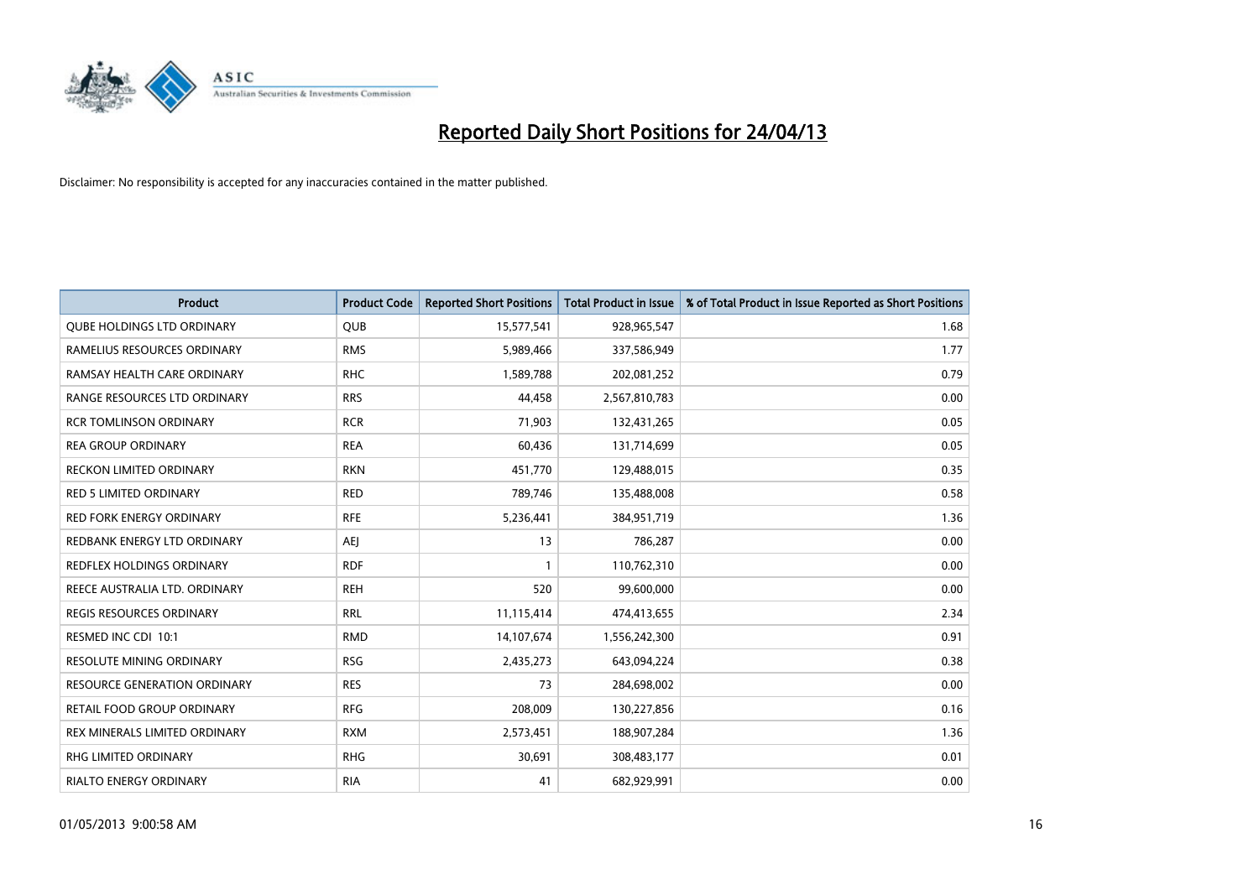

| <b>Product</b>                      | <b>Product Code</b> | <b>Reported Short Positions</b> | <b>Total Product in Issue</b> | % of Total Product in Issue Reported as Short Positions |
|-------------------------------------|---------------------|---------------------------------|-------------------------------|---------------------------------------------------------|
| <b>QUBE HOLDINGS LTD ORDINARY</b>   | <b>QUB</b>          | 15,577,541                      | 928,965,547                   | 1.68                                                    |
| RAMELIUS RESOURCES ORDINARY         | <b>RMS</b>          | 5,989,466                       | 337,586,949                   | 1.77                                                    |
| RAMSAY HEALTH CARE ORDINARY         | <b>RHC</b>          | 1,589,788                       | 202,081,252                   | 0.79                                                    |
| RANGE RESOURCES LTD ORDINARY        | <b>RRS</b>          | 44,458                          | 2,567,810,783                 | 0.00                                                    |
| <b>RCR TOMLINSON ORDINARY</b>       | <b>RCR</b>          | 71,903                          | 132,431,265                   | 0.05                                                    |
| <b>REA GROUP ORDINARY</b>           | <b>REA</b>          | 60,436                          | 131,714,699                   | 0.05                                                    |
| <b>RECKON LIMITED ORDINARY</b>      | <b>RKN</b>          | 451,770                         | 129,488,015                   | 0.35                                                    |
| RED 5 LIMITED ORDINARY              | <b>RED</b>          | 789,746                         | 135,488,008                   | 0.58                                                    |
| <b>RED FORK ENERGY ORDINARY</b>     | <b>RFE</b>          | 5,236,441                       | 384,951,719                   | 1.36                                                    |
| REDBANK ENERGY LTD ORDINARY         | AEJ                 | 13                              | 786,287                       | 0.00                                                    |
| REDFLEX HOLDINGS ORDINARY           | <b>RDF</b>          |                                 | 110,762,310                   | 0.00                                                    |
| REECE AUSTRALIA LTD. ORDINARY       | <b>REH</b>          | 520                             | 99,600,000                    | 0.00                                                    |
| REGIS RESOURCES ORDINARY            | <b>RRL</b>          | 11,115,414                      | 474,413,655                   | 2.34                                                    |
| RESMED INC CDI 10:1                 | <b>RMD</b>          | 14,107,674                      | 1,556,242,300                 | 0.91                                                    |
| <b>RESOLUTE MINING ORDINARY</b>     | <b>RSG</b>          | 2,435,273                       | 643,094,224                   | 0.38                                                    |
| <b>RESOURCE GENERATION ORDINARY</b> | <b>RES</b>          | 73                              | 284,698,002                   | 0.00                                                    |
| RETAIL FOOD GROUP ORDINARY          | <b>RFG</b>          | 208,009                         | 130,227,856                   | 0.16                                                    |
| REX MINERALS LIMITED ORDINARY       | <b>RXM</b>          | 2,573,451                       | 188,907,284                   | 1.36                                                    |
| <b>RHG LIMITED ORDINARY</b>         | <b>RHG</b>          | 30,691                          | 308,483,177                   | 0.01                                                    |
| RIALTO ENERGY ORDINARY              | <b>RIA</b>          | 41                              | 682,929,991                   | 0.00                                                    |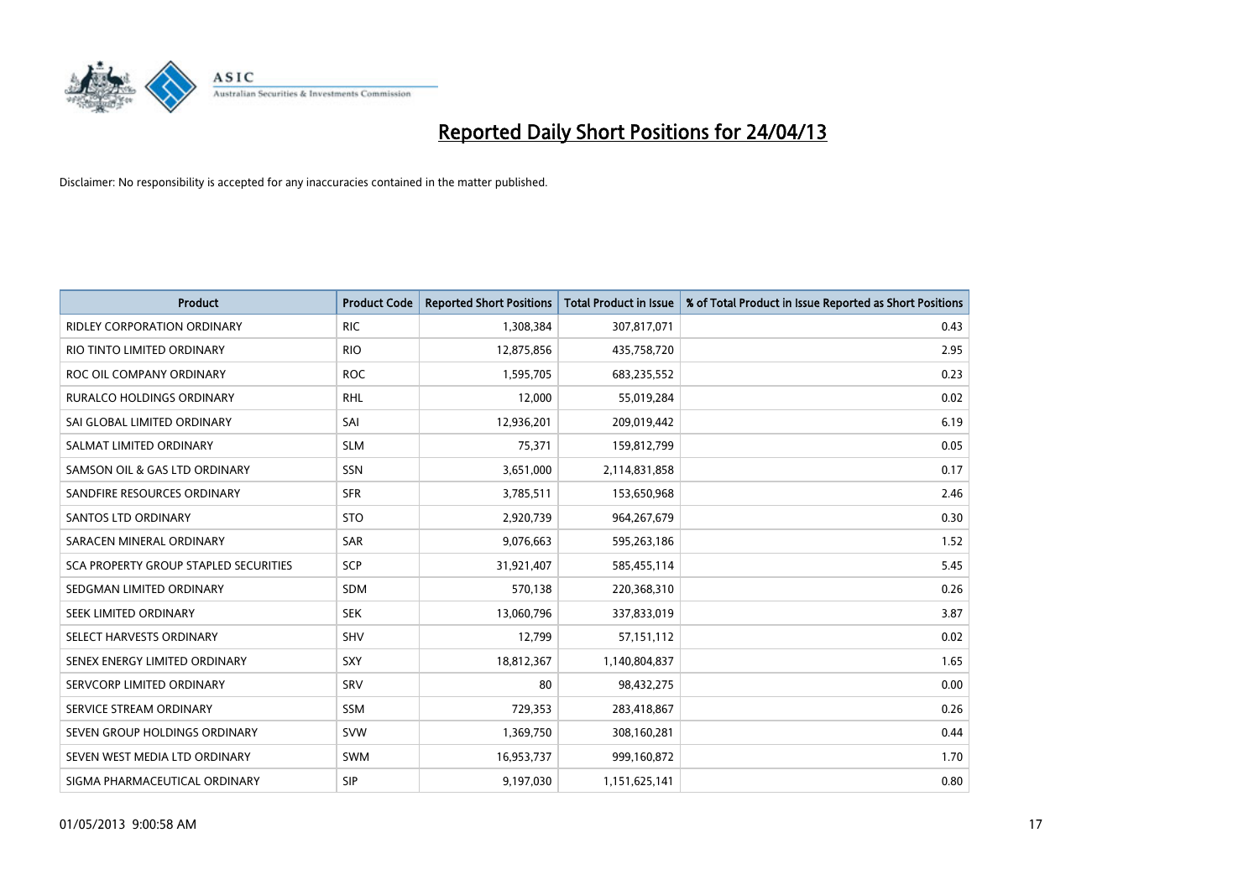

| <b>Product</b>                        | <b>Product Code</b> | <b>Reported Short Positions</b> | <b>Total Product in Issue</b> | % of Total Product in Issue Reported as Short Positions |
|---------------------------------------|---------------------|---------------------------------|-------------------------------|---------------------------------------------------------|
| <b>RIDLEY CORPORATION ORDINARY</b>    | <b>RIC</b>          | 1,308,384                       | 307,817,071                   | 0.43                                                    |
| RIO TINTO LIMITED ORDINARY            | <b>RIO</b>          | 12,875,856                      | 435,758,720                   | 2.95                                                    |
| ROC OIL COMPANY ORDINARY              | <b>ROC</b>          | 1,595,705                       | 683,235,552                   | 0.23                                                    |
| RURALCO HOLDINGS ORDINARY             | <b>RHL</b>          | 12,000                          | 55,019,284                    | 0.02                                                    |
| SAI GLOBAL LIMITED ORDINARY           | SAI                 | 12,936,201                      | 209,019,442                   | 6.19                                                    |
| SALMAT LIMITED ORDINARY               | <b>SLM</b>          | 75,371                          | 159,812,799                   | 0.05                                                    |
| SAMSON OIL & GAS LTD ORDINARY         | SSN                 | 3,651,000                       | 2,114,831,858                 | 0.17                                                    |
| SANDFIRE RESOURCES ORDINARY           | <b>SFR</b>          | 3,785,511                       | 153,650,968                   | 2.46                                                    |
| SANTOS LTD ORDINARY                   | <b>STO</b>          | 2,920,739                       | 964,267,679                   | 0.30                                                    |
| SARACEN MINERAL ORDINARY              | SAR                 | 9,076,663                       | 595,263,186                   | 1.52                                                    |
| SCA PROPERTY GROUP STAPLED SECURITIES | SCP                 | 31,921,407                      | 585,455,114                   | 5.45                                                    |
| SEDGMAN LIMITED ORDINARY              | SDM                 | 570,138                         | 220,368,310                   | 0.26                                                    |
| SEEK LIMITED ORDINARY                 | <b>SEK</b>          | 13,060,796                      | 337,833,019                   | 3.87                                                    |
| SELECT HARVESTS ORDINARY              | SHV                 | 12,799                          | 57,151,112                    | 0.02                                                    |
| SENEX ENERGY LIMITED ORDINARY         | <b>SXY</b>          | 18,812,367                      | 1,140,804,837                 | 1.65                                                    |
| SERVCORP LIMITED ORDINARY             | SRV                 | 80                              | 98,432,275                    | 0.00                                                    |
| SERVICE STREAM ORDINARY               | SSM                 | 729,353                         | 283,418,867                   | 0.26                                                    |
| SEVEN GROUP HOLDINGS ORDINARY         | <b>SVW</b>          | 1,369,750                       | 308,160,281                   | 0.44                                                    |
| SEVEN WEST MEDIA LTD ORDINARY         | <b>SWM</b>          | 16,953,737                      | 999,160,872                   | 1.70                                                    |
| SIGMA PHARMACEUTICAL ORDINARY         | <b>SIP</b>          | 9,197,030                       | 1,151,625,141                 | 0.80                                                    |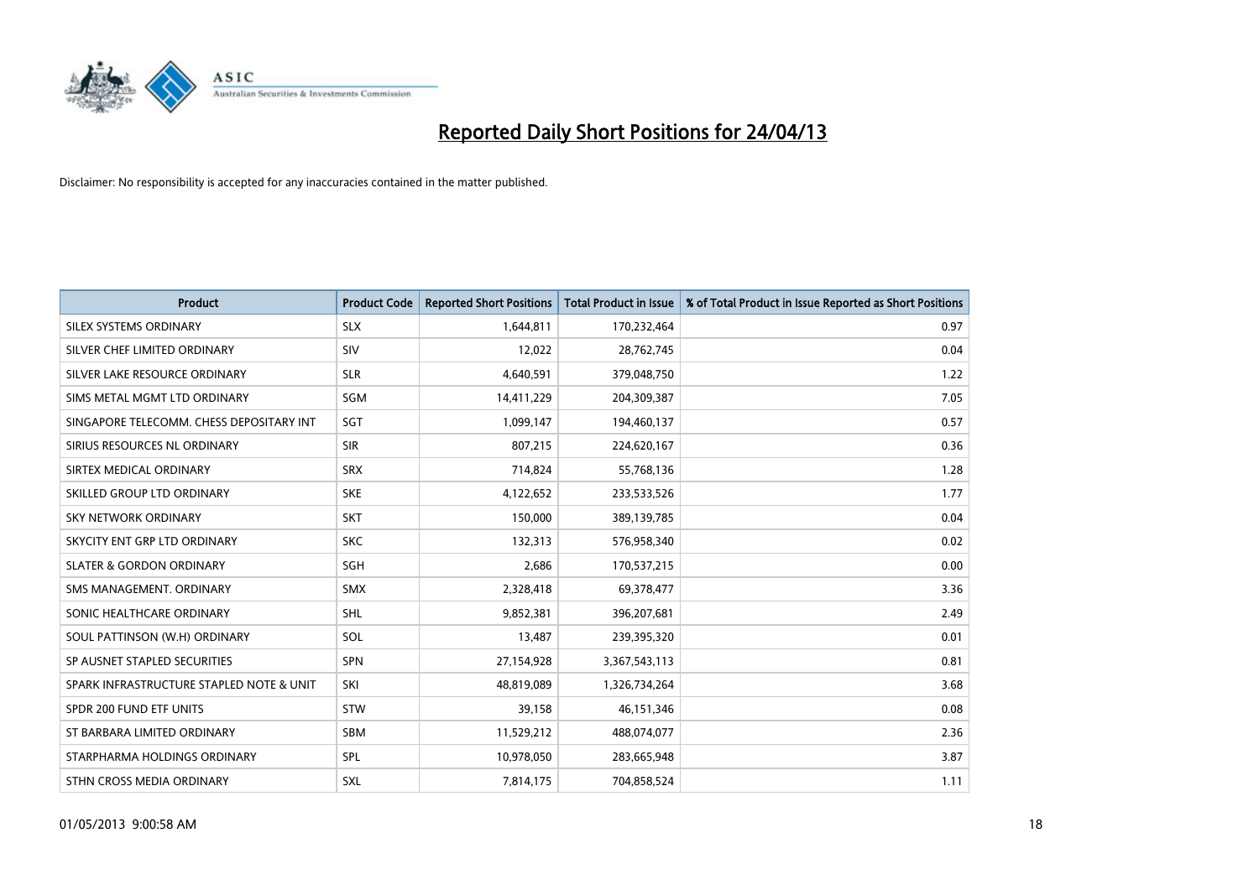

| <b>Product</b>                           | <b>Product Code</b> | <b>Reported Short Positions</b> | <b>Total Product in Issue</b> | % of Total Product in Issue Reported as Short Positions |
|------------------------------------------|---------------------|---------------------------------|-------------------------------|---------------------------------------------------------|
| SILEX SYSTEMS ORDINARY                   | <b>SLX</b>          | 1,644,811                       | 170,232,464                   | 0.97                                                    |
| SILVER CHEF LIMITED ORDINARY             | <b>SIV</b>          | 12,022                          | 28,762,745                    | 0.04                                                    |
| SILVER LAKE RESOURCE ORDINARY            | <b>SLR</b>          | 4,640,591                       | 379,048,750                   | 1.22                                                    |
| SIMS METAL MGMT LTD ORDINARY             | SGM                 | 14,411,229                      | 204,309,387                   | 7.05                                                    |
| SINGAPORE TELECOMM. CHESS DEPOSITARY INT | SGT                 | 1,099,147                       | 194,460,137                   | 0.57                                                    |
| SIRIUS RESOURCES NL ORDINARY             | <b>SIR</b>          | 807,215                         | 224,620,167                   | 0.36                                                    |
| SIRTEX MEDICAL ORDINARY                  | <b>SRX</b>          | 714,824                         | 55,768,136                    | 1.28                                                    |
| SKILLED GROUP LTD ORDINARY               | <b>SKE</b>          | 4,122,652                       | 233,533,526                   | 1.77                                                    |
| <b>SKY NETWORK ORDINARY</b>              | <b>SKT</b>          | 150,000                         | 389,139,785                   | 0.04                                                    |
| SKYCITY ENT GRP LTD ORDINARY             | <b>SKC</b>          | 132,313                         | 576,958,340                   | 0.02                                                    |
| <b>SLATER &amp; GORDON ORDINARY</b>      | SGH                 | 2,686                           | 170,537,215                   | 0.00                                                    |
| SMS MANAGEMENT, ORDINARY                 | SMX                 | 2,328,418                       | 69,378,477                    | 3.36                                                    |
| SONIC HEALTHCARE ORDINARY                | SHL                 | 9,852,381                       | 396,207,681                   | 2.49                                                    |
| SOUL PATTINSON (W.H) ORDINARY            | SOL                 | 13,487                          | 239,395,320                   | 0.01                                                    |
| SP AUSNET STAPLED SECURITIES             | <b>SPN</b>          | 27,154,928                      | 3,367,543,113                 | 0.81                                                    |
| SPARK INFRASTRUCTURE STAPLED NOTE & UNIT | SKI                 | 48,819,089                      | 1,326,734,264                 | 3.68                                                    |
| SPDR 200 FUND ETF UNITS                  | <b>STW</b>          | 39,158                          | 46,151,346                    | 0.08                                                    |
| ST BARBARA LIMITED ORDINARY              | <b>SBM</b>          | 11,529,212                      | 488,074,077                   | 2.36                                                    |
| STARPHARMA HOLDINGS ORDINARY             | SPL                 | 10,978,050                      | 283,665,948                   | 3.87                                                    |
| STHN CROSS MEDIA ORDINARY                | SXL                 | 7,814,175                       | 704,858,524                   | 1.11                                                    |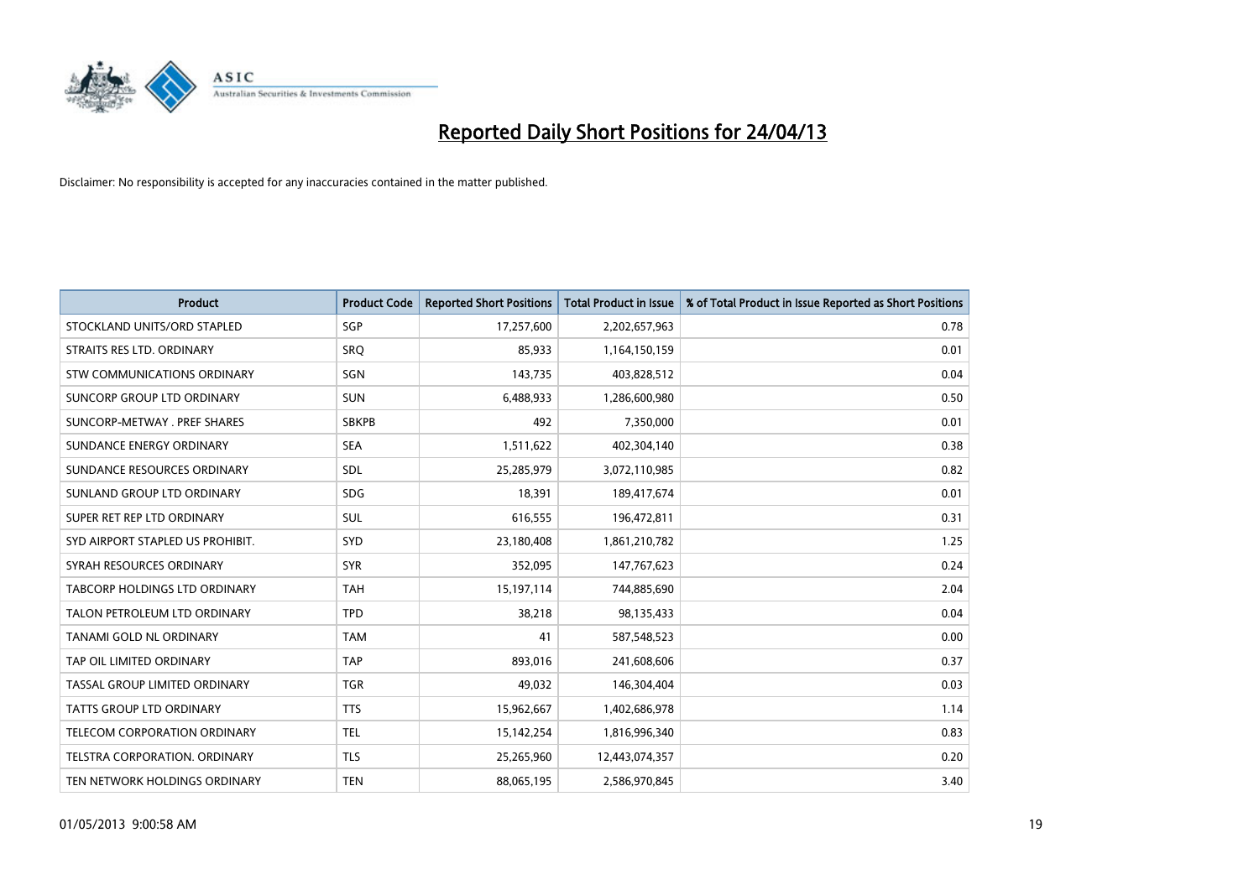

| <b>Product</b>                       | <b>Product Code</b> | <b>Reported Short Positions</b> | <b>Total Product in Issue</b> | % of Total Product in Issue Reported as Short Positions |
|--------------------------------------|---------------------|---------------------------------|-------------------------------|---------------------------------------------------------|
| STOCKLAND UNITS/ORD STAPLED          | SGP                 | 17,257,600                      | 2,202,657,963                 | 0.78                                                    |
| STRAITS RES LTD. ORDINARY            | <b>SRO</b>          | 85,933                          | 1,164,150,159                 | 0.01                                                    |
| STW COMMUNICATIONS ORDINARY          | SGN                 | 143,735                         | 403,828,512                   | 0.04                                                    |
| SUNCORP GROUP LTD ORDINARY           | <b>SUN</b>          | 6,488,933                       | 1,286,600,980                 | 0.50                                                    |
| SUNCORP-METWAY, PREF SHARES          | <b>SBKPB</b>        | 492                             | 7,350,000                     | 0.01                                                    |
| SUNDANCE ENERGY ORDINARY             | <b>SEA</b>          | 1,511,622                       | 402,304,140                   | 0.38                                                    |
| SUNDANCE RESOURCES ORDINARY          | <b>SDL</b>          | 25,285,979                      | 3,072,110,985                 | 0.82                                                    |
| SUNLAND GROUP LTD ORDINARY           | <b>SDG</b>          | 18,391                          | 189,417,674                   | 0.01                                                    |
| SUPER RET REP LTD ORDINARY           | <b>SUL</b>          | 616,555                         | 196,472,811                   | 0.31                                                    |
| SYD AIRPORT STAPLED US PROHIBIT.     | SYD                 | 23,180,408                      | 1,861,210,782                 | 1.25                                                    |
| SYRAH RESOURCES ORDINARY             | <b>SYR</b>          | 352,095                         | 147,767,623                   | 0.24                                                    |
| <b>TABCORP HOLDINGS LTD ORDINARY</b> | <b>TAH</b>          | 15,197,114                      | 744,885,690                   | 2.04                                                    |
| TALON PETROLEUM LTD ORDINARY         | <b>TPD</b>          | 38,218                          | 98,135,433                    | 0.04                                                    |
| TANAMI GOLD NL ORDINARY              | <b>TAM</b>          | 41                              | 587,548,523                   | 0.00                                                    |
| TAP OIL LIMITED ORDINARY             | <b>TAP</b>          | 893,016                         | 241,608,606                   | 0.37                                                    |
| TASSAL GROUP LIMITED ORDINARY        | <b>TGR</b>          | 49,032                          | 146,304,404                   | 0.03                                                    |
| TATTS GROUP LTD ORDINARY             | <b>TTS</b>          | 15,962,667                      | 1,402,686,978                 | 1.14                                                    |
| TELECOM CORPORATION ORDINARY         | <b>TEL</b>          | 15,142,254                      | 1,816,996,340                 | 0.83                                                    |
| TELSTRA CORPORATION, ORDINARY        | <b>TLS</b>          | 25,265,960                      | 12,443,074,357                | 0.20                                                    |
| TEN NETWORK HOLDINGS ORDINARY        | <b>TEN</b>          | 88,065,195                      | 2,586,970,845                 | 3.40                                                    |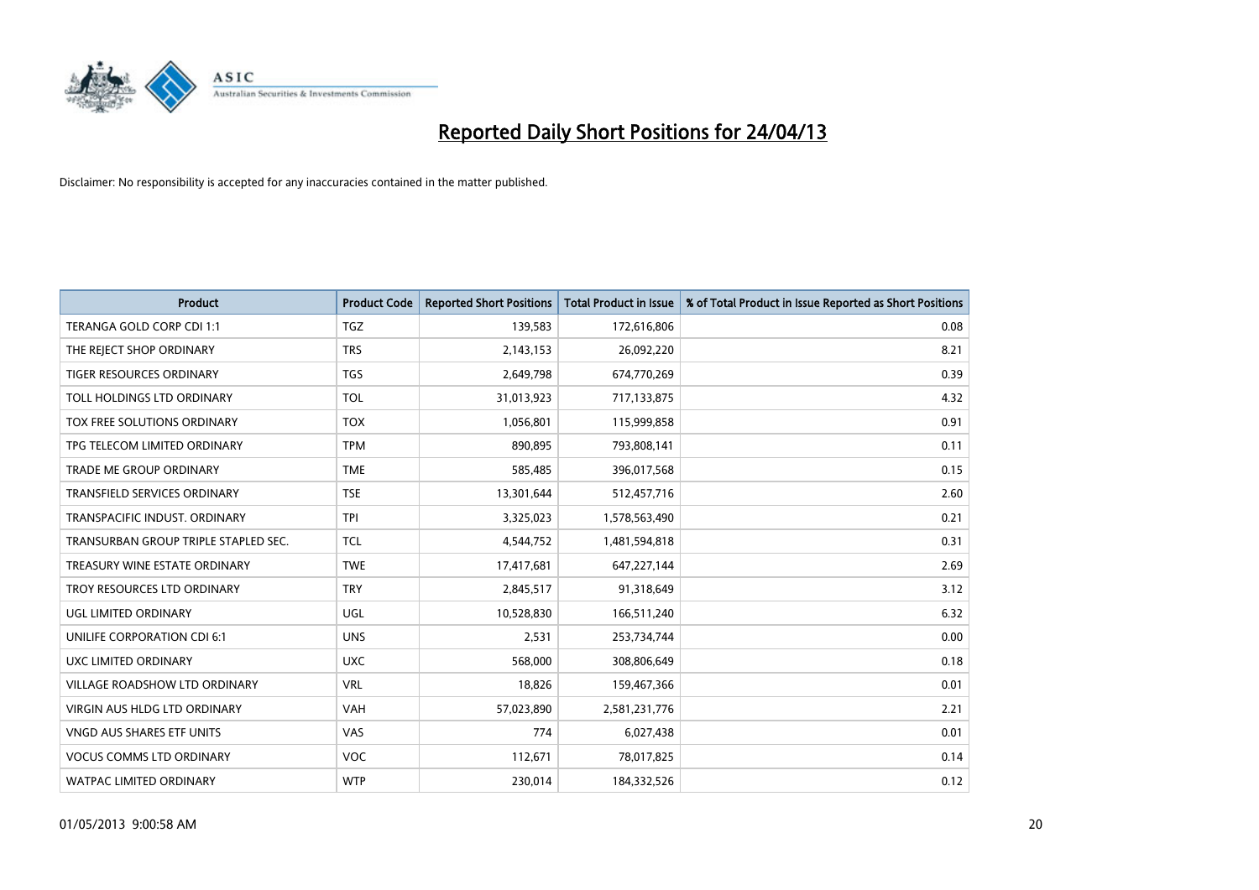

| <b>Product</b>                       | <b>Product Code</b> | <b>Reported Short Positions</b> | <b>Total Product in Issue</b> | % of Total Product in Issue Reported as Short Positions |
|--------------------------------------|---------------------|---------------------------------|-------------------------------|---------------------------------------------------------|
| TERANGA GOLD CORP CDI 1:1            | <b>TGZ</b>          | 139,583                         | 172,616,806                   | 0.08                                                    |
| THE REJECT SHOP ORDINARY             | <b>TRS</b>          | 2,143,153                       | 26,092,220                    | 8.21                                                    |
| TIGER RESOURCES ORDINARY             | TGS                 | 2,649,798                       | 674,770,269                   | 0.39                                                    |
| TOLL HOLDINGS LTD ORDINARY           | <b>TOL</b>          | 31,013,923                      | 717,133,875                   | 4.32                                                    |
| TOX FREE SOLUTIONS ORDINARY          | <b>TOX</b>          | 1,056,801                       | 115,999,858                   | 0.91                                                    |
| TPG TELECOM LIMITED ORDINARY         | <b>TPM</b>          | 890,895                         | 793,808,141                   | 0.11                                                    |
| TRADE ME GROUP ORDINARY              | <b>TME</b>          | 585,485                         | 396,017,568                   | 0.15                                                    |
| TRANSFIELD SERVICES ORDINARY         | <b>TSE</b>          | 13,301,644                      | 512,457,716                   | 2.60                                                    |
| TRANSPACIFIC INDUST, ORDINARY        | <b>TPI</b>          | 3,325,023                       | 1,578,563,490                 | 0.21                                                    |
| TRANSURBAN GROUP TRIPLE STAPLED SEC. | <b>TCL</b>          | 4,544,752                       | 1,481,594,818                 | 0.31                                                    |
| TREASURY WINE ESTATE ORDINARY        | <b>TWE</b>          | 17,417,681                      | 647,227,144                   | 2.69                                                    |
| TROY RESOURCES LTD ORDINARY          | <b>TRY</b>          | 2,845,517                       | 91,318,649                    | 3.12                                                    |
| <b>UGL LIMITED ORDINARY</b>          | UGL                 | 10,528,830                      | 166,511,240                   | 6.32                                                    |
| UNILIFE CORPORATION CDI 6:1          | <b>UNS</b>          | 2,531                           | 253,734,744                   | 0.00                                                    |
| UXC LIMITED ORDINARY                 | <b>UXC</b>          | 568,000                         | 308,806,649                   | 0.18                                                    |
| VILLAGE ROADSHOW LTD ORDINARY        | <b>VRL</b>          | 18,826                          | 159,467,366                   | 0.01                                                    |
| VIRGIN AUS HLDG LTD ORDINARY         | VAH                 | 57,023,890                      | 2,581,231,776                 | 2.21                                                    |
| VNGD AUS SHARES ETF UNITS            | <b>VAS</b>          | 774                             | 6,027,438                     | 0.01                                                    |
| <b>VOCUS COMMS LTD ORDINARY</b>      | <b>VOC</b>          | 112,671                         | 78,017,825                    | 0.14                                                    |
| <b>WATPAC LIMITED ORDINARY</b>       | <b>WTP</b>          | 230,014                         | 184,332,526                   | 0.12                                                    |